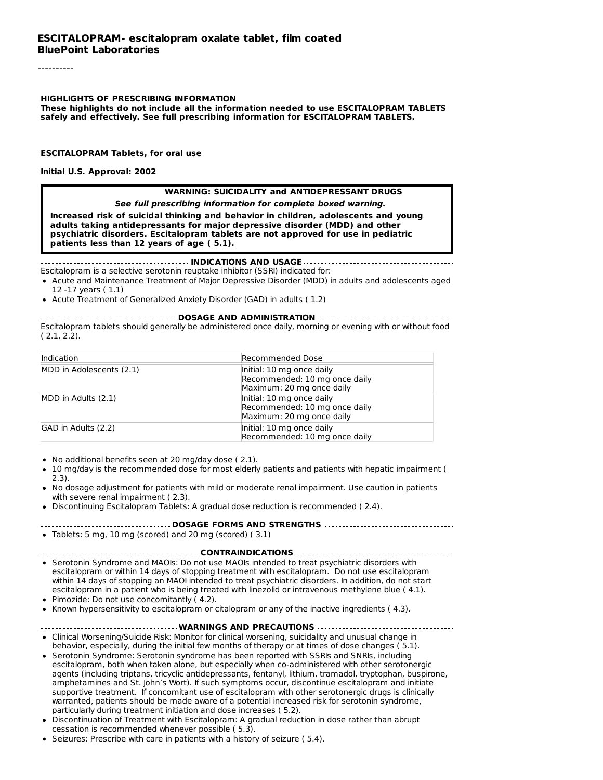----------

#### **HIGHLIGHTS OF PRESCRIBING INFORMATION**

**These highlights do not include all the information needed to use ESCITALOPRAM TABLETS safely and effectively. See full prescribing information for ESCITALOPRAM TABLETS.**

#### **ESCITALOPRAM Tablets, for oral use**

**Initial U.S. Approval: 2002**

#### **WARNING: SUICIDALITY and ANTIDEPRESSANT DRUGS**

#### **See full prescribing information for complete boxed warning.**

**Increased risk of suicidal thinking and behavior in children, adolescents and young adults taking antidepressants for major depressive disorder (MDD) and other psychiatric disorders. Escitalopram tablets are not approved for use in pediatric patients less than 12 years of age ( 5.1).**

**INDICATIONS AND USAGE**

Escitalopram is a selective serotonin reuptake inhibitor (SSRI) indicated for: Acute and Maintenance Treatment of Major Depressive Disorder (MDD) in adults and adolescents aged

12 -17 years ( 1.1)

Acute Treatment of Generalized Anxiety Disorder (GAD) in adults ( 1.2)

**DOSAGE AND ADMINISTRATION** Escitalopram tablets should generally be administered once daily, morning or evening with or without food  $(2.1, 2.2).$ 

| Indication               | Recommended Dose                                                                        |
|--------------------------|-----------------------------------------------------------------------------------------|
| MDD in Adolescents (2.1) | Initial: 10 mg once daily<br>Recommended: 10 mg once daily<br>Maximum: 20 mg once daily |
| MDD in Adults (2.1)      | Initial: 10 mg once daily<br>Recommended: 10 mg once daily<br>Maximum: 20 mg once daily |
| GAD in Adults (2.2)      | Initial: 10 mg once daily<br>Recommended: 10 mg once daily                              |

No additional benefits seen at 20 mg/day dose ( 2.1).

- 10 mg/day is the recommended dose for most elderly patients and patients with hepatic impairment (  $\bullet$ 2.3).
- No dosage adjustment for patients with mild or moderate renal impairment. Use caution in patients with severe renal impairment (2.3).
- Discontinuing Escitalopram Tablets: A gradual dose reduction is recommended ( 2.4).

#### **DOSAGE FORMS AND STRENGTHS**

Tablets: 5 mg, 10 mg (scored) and 20 mg (scored) ( 3.1)

#### **CONTRAINDICATIONS**

- Serotonin Syndrome and MAOIs: Do not use MAOIs intended to treat psychiatric disorders with escitalopram or within 14 days of stopping treatment with escitalopram. Do not use escitalopram within 14 days of stopping an MAOI intended to treat psychiatric disorders. In addition, do not start escitalopram in a patient who is being treated with linezolid or intravenous methylene blue ( 4.1).
- Pimozide: Do not use concomitantly (4.2).
- $\bullet$  Known hypersensitivity to escitalopram or citalopram or any of the inactive ingredients (4.3).

#### **WARNINGS AND PRECAUTIONS**

- Clinical Worsening/Suicide Risk: Monitor for clinical worsening, suicidality and unusual change in behavior, especially, during the initial few months of therapy or at times of dose changes ( 5.1).
- Serotonin Syndrome: Serotonin syndrome has been reported with SSRIs and SNRIs, including escitalopram, both when taken alone, but especially when co-administered with other serotonergic agents (including triptans, tricyclic antidepressants, fentanyl, lithium, tramadol, tryptophan, buspirone, amphetamines and St. John's Wort). If such symptoms occur, discontinue escitalopram and initiate supportive treatment. If concomitant use of escitalopram with other serotonergic drugs is clinically warranted, patients should be made aware of a potential increased risk for serotonin syndrome, particularly during treatment initiation and dose increases ( 5.2).
- Discontinuation of Treatment with Escitalopram: A gradual reduction in dose rather than abrupt cessation is recommended whenever possible ( 5.3).
- Seizures: Prescribe with care in patients with a history of seizure ( 5.4).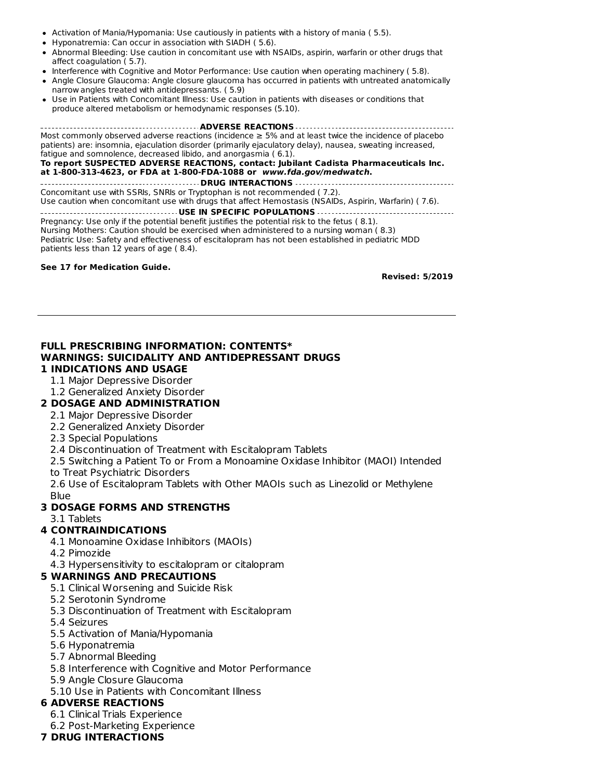- Activation of Mania/Hypomania: Use cautiously in patients with a history of mania ( 5.5).
- Hyponatremia: Can occur in association with SIADH ( 5.6).
- Abnormal Bleeding: Use caution in concomitant use with NSAIDs, aspirin, warfarin or other drugs that affect coagulation ( 5.7).
- Interference with Cognitive and Motor Performance: Use caution when operating machinery (5.8).
- Angle Closure Glaucoma: Angle closure glaucoma has occurred in patients with untreated anatomically narrow angles treated with antidepressants. ( 5.9)
- Use in Patients with Concomitant Illness: Use caution in patients with diseases or conditions that produce altered metabolism or hemodynamic responses (5.10).

**ADVERSE REACTIONS** Most commonly observed adverse reactions (incidence ≥ 5% and at least twice the incidence of placebo patients) are: insomnia, ejaculation disorder (primarily ejaculatory delay), nausea, sweating increased, fatigue and somnolence, decreased libido, and anorgasmia ( 6.1). **To report SUSPECTED ADVERSE REACTIONS, contact: Jubilant Cadista Pharmaceuticals Inc. at 1-800-313-4623, or FDA at 1-800-FDA-1088 or www.fda.gov/medwatch. DRUG INTERACTIONS** Concomitant use with SSRIs, SNRIs or Tryptophan is not recommended ( 7.2). Use caution when concomitant use with drugs that affect Hemostasis (NSAIDs, Aspirin, Warfarin) ( 7.6). **USE IN SPECIFIC POPULATIONS** Pregnancy: Use only if the potential benefit justifies the potential risk to the fetus ( 8.1). Nursing Mothers: Caution should be exercised when administered to a nursing woman ( 8.3) Pediatric Use: Safety and effectiveness of escitalopram has not been established in pediatric MDD patients less than 12 years of age ( 8.4).

#### **See 17 for Medication Guide.**

**Revised: 5/2019**

#### **FULL PRESCRIBING INFORMATION: CONTENTS\* WARNINGS: SUICIDALITY AND ANTIDEPRESSANT DRUGS 1 INDICATIONS AND USAGE**

- 1.1 Major Depressive Disorder
- 1.2 Generalized Anxiety Disorder

#### **2 DOSAGE AND ADMINISTRATION**

- 2.1 Major Depressive Disorder
- 2.2 Generalized Anxiety Disorder
- 2.3 Special Populations
- 2.4 Discontinuation of Treatment with Escitalopram Tablets

2.5 Switching a Patient To or From a Monoamine Oxidase Inhibitor (MAOI) Intended

to Treat Psychiatric Disorders

2.6 Use of Escitalopram Tablets with Other MAOIs such as Linezolid or Methylene

Blue

### **3 DOSAGE FORMS AND STRENGTHS**

3.1 Tablets

#### **4 CONTRAINDICATIONS**

- 4.1 Monoamine Oxidase Inhibitors (MAOIs)
- 4.2 Pimozide
- 4.3 Hypersensitivity to escitalopram or citalopram

#### **5 WARNINGS AND PRECAUTIONS**

- 5.1 Clinical Worsening and Suicide Risk
- 5.2 Serotonin Syndrome
- 5.3 Discontinuation of Treatment with Escitalopram
- 5.4 Seizures
- 5.5 Activation of Mania/Hypomania
- 5.6 Hyponatremia
- 5.7 Abnormal Bleeding
- 5.8 Interference with Cognitive and Motor Performance
- 5.9 Angle Closure Glaucoma
- 5.10 Use in Patients with Concomitant Illness

#### **6 ADVERSE REACTIONS**

- 6.1 Clinical Trials Experience
- 6.2 Post-Marketing Experience

#### **7 DRUG INTERACTIONS**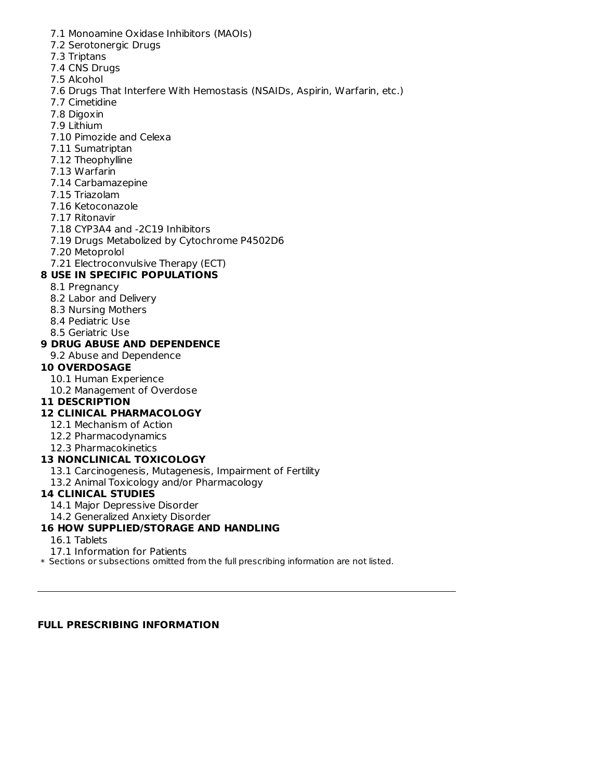- 7.1 Monoamine Oxidase Inhibitors (MAOIs)
- 7.2 Serotonergic Drugs
- 7.3 Triptans
- 7.4 CNS Drugs
- 7.5 Alcohol
- 7.6 Drugs That Interfere With Hemostasis (NSAIDs, Aspirin, Warfarin, etc.)
- 7.7 Cimetidine
- 7.8 Digoxin
- 7.9 Lithium
- 7.10 Pimozide and Celexa
- 7.11 Sumatriptan
- 7.12 Theophylline
- 7.13 Warfarin
- 7.14 Carbamazepine
- 7.15 Triazolam
- 7.16 Ketoconazole
- 7.17 Ritonavir
- 7.18 CYP3A4 and -2C19 Inhibitors
- 7.19 Drugs Metabolized by Cytochrome P4502D6
- 7.20 Metoprolol
- 7.21 Electroconvulsive Therapy (ECT)

# **8 USE IN SPECIFIC POPULATIONS**

- 8.1 Pregnancy
- 8.2 Labor and Delivery
- 8.3 Nursing Mothers
- 8.4 Pediatric Use
- 8.5 Geriatric Use

# **9 DRUG ABUSE AND DEPENDENCE**

9.2 Abuse and Dependence

# **10 OVERDOSAGE**

- 10.1 Human Experience
- 10.2 Management of Overdose

# **11 DESCRIPTION**

# **12 CLINICAL PHARMACOLOGY**

- 12.1 Mechanism of Action
- 12.2 Pharmacodynamics
- 12.3 Pharmacokinetics

# **13 NONCLINICAL TOXICOLOGY**

- 13.1 Carcinogenesis, Mutagenesis, Impairment of Fertility
- 13.2 Animal Toxicology and/or Pharmacology

# **14 CLINICAL STUDIES**

- 14.1 Major Depressive Disorder
- 14.2 Generalized Anxiety Disorder

# **16 HOW SUPPLIED/STORAGE AND HANDLING**

- 16.1 Tablets
- 17.1 Information for Patients
- \* Sections or subsections omitted from the full prescribing information are not listed.

# **FULL PRESCRIBING INFORMATION**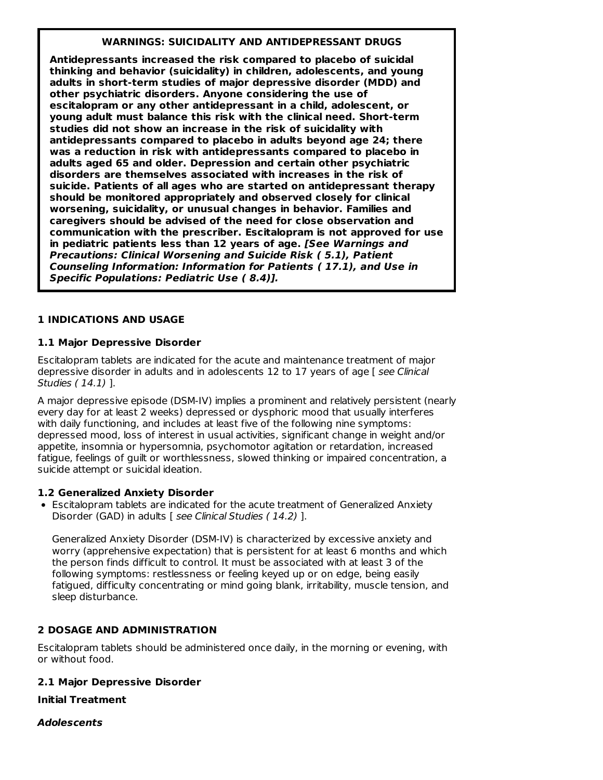### **WARNINGS: SUICIDALITY AND ANTIDEPRESSANT DRUGS**

**Antidepressants increased the risk compared to placebo of suicidal thinking and behavior (suicidality) in children, adolescents, and young adults in short-term studies of major depressive disorder (MDD) and other psychiatric disorders. Anyone considering the use of escitalopram or any other antidepressant in a child, adolescent, or young adult must balance this risk with the clinical need. Short-term studies did not show an increase in the risk of suicidality with antidepressants compared to placebo in adults beyond age 24; there was a reduction in risk with antidepressants compared to placebo in adults aged 65 and older. Depression and certain other psychiatric disorders are themselves associated with increases in the risk of suicide. Patients of all ages who are started on antidepressant therapy should be monitored appropriately and observed closely for clinical worsening, suicidality, or unusual changes in behavior. Families and caregivers should be advised of the need for close observation and communication with the prescriber. Escitalopram is not approved for use in pediatric patients less than 12 years of age. [See Warnings and Precautions: Clinical Worsening and Suicide Risk ( 5.1), Patient Counseling Information: Information for Patients ( 17.1), and Use in Specific Populations: Pediatric Use ( 8.4)].**

### **1 INDICATIONS AND USAGE**

### **1.1 Major Depressive Disorder**

Escitalopram tablets are indicated for the acute and maintenance treatment of major depressive disorder in adults and in adolescents 12 to 17 years of age [ see Clinical Studies ( 14.1) ].

A major depressive episode (DSM-IV) implies a prominent and relatively persistent (nearly every day for at least 2 weeks) depressed or dysphoric mood that usually interferes with daily functioning, and includes at least five of the following nine symptoms: depressed mood, loss of interest in usual activities, significant change in weight and/or appetite, insomnia or hypersomnia, psychomotor agitation or retardation, increased fatigue, feelings of guilt or worthlessness, slowed thinking or impaired concentration, a suicide attempt or suicidal ideation.

### **1.2 Generalized Anxiety Disorder**

Escitalopram tablets are indicated for the acute treatment of Generalized Anxiety Disorder (GAD) in adults [ see Clinical Studies (14.2) ].

Generalized Anxiety Disorder (DSM-IV) is characterized by excessive anxiety and worry (apprehensive expectation) that is persistent for at least 6 months and which the person finds difficult to control. It must be associated with at least 3 of the following symptoms: restlessness or feeling keyed up or on edge, being easily fatigued, difficulty concentrating or mind going blank, irritability, muscle tension, and sleep disturbance.

# **2 DOSAGE AND ADMINISTRATION**

Escitalopram tablets should be administered once daily, in the morning or evening, with or without food.

### **2.1 Major Depressive Disorder**

**Initial Treatment**

**Adolescents**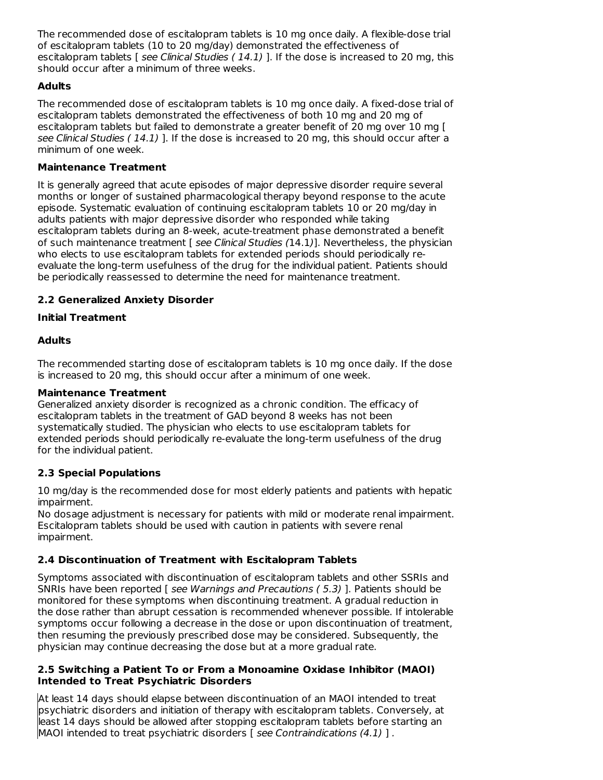The recommended dose of escitalopram tablets is 10 mg once daily. A flexible-dose trial of escitalopram tablets (10 to 20 mg/day) demonstrated the effectiveness of escitalopram tablets  $[$  see Clinical Studies  $(14.1)$   $]$ . If the dose is increased to 20 mg, this should occur after a minimum of three weeks.

### **Adults**

The recommended dose of escitalopram tablets is 10 mg once daily. A fixed-dose trial of escitalopram tablets demonstrated the effectiveness of both 10 mg and 20 mg of escitalopram tablets but failed to demonstrate a greater benefit of 20 mg over 10 mg [ see Clinical Studies (14.1)]. If the dose is increased to 20 mg, this should occur after a minimum of one week.

### **Maintenance Treatment**

It is generally agreed that acute episodes of major depressive disorder require several months or longer of sustained pharmacological therapy beyond response to the acute episode. Systematic evaluation of continuing escitalopram tablets 10 or 20 mg/day in adults patients with major depressive disorder who responded while taking escitalopram tablets during an 8-week, acute-treatment phase demonstrated a benefit of such maintenance treatment [ see Clinical Studies (14.1)]. Nevertheless, the physician who elects to use escitalopram tablets for extended periods should periodically reevaluate the long-term usefulness of the drug for the individual patient. Patients should be periodically reassessed to determine the need for maintenance treatment.

# **2.2 Generalized Anxiety Disorder**

# **Initial Treatment**

# **Adults**

The recommended starting dose of escitalopram tablets is 10 mg once daily. If the dose is increased to 20 mg, this should occur after a minimum of one week.

### **Maintenance Treatment**

Generalized anxiety disorder is recognized as a chronic condition. The efficacy of escitalopram tablets in the treatment of GAD beyond 8 weeks has not been systematically studied. The physician who elects to use escitalopram tablets for extended periods should periodically re-evaluate the long-term usefulness of the drug for the individual patient.

# **2.3 Special Populations**

10 mg/day is the recommended dose for most elderly patients and patients with hepatic impairment.

No dosage adjustment is necessary for patients with mild or moderate renal impairment. Escitalopram tablets should be used with caution in patients with severe renal impairment.

# **2.4 Discontinuation of Treatment with Escitalopram Tablets**

Symptoms associated with discontinuation of escitalopram tablets and other SSRIs and SNRIs have been reported [ see Warnings and Precautions ( 5.3) ]. Patients should be monitored for these symptoms when discontinuing treatment. A gradual reduction in the dose rather than abrupt cessation is recommended whenever possible. If intolerable symptoms occur following a decrease in the dose or upon discontinuation of treatment, then resuming the previously prescribed dose may be considered. Subsequently, the physician may continue decreasing the dose but at a more gradual rate.

### **2.5 Switching a Patient To or From a Monoamine Oxidase Inhibitor (MAOI) Intended to Treat Psychiatric Disorders**

At least 14 days should elapse between discontinuation of an MAOI intended to treat psychiatric disorders and initiation of therapy with escitalopram tablets. Conversely, at least 14 days should be allowed after stopping escitalopram tablets before starting an MAOI intended to treat psychiatric disorders  $[$  see Contraindications  $(4.1)$   $]$ .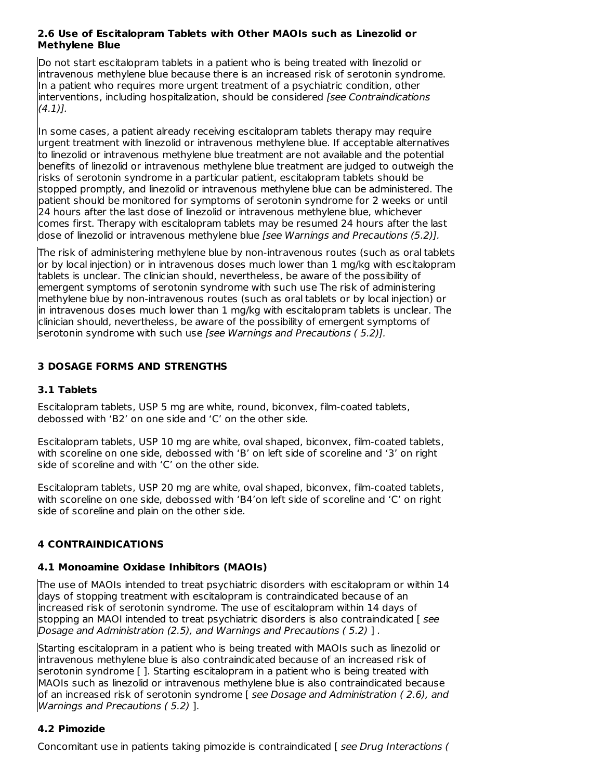### **2.6 Use of Escitalopram Tablets with Other MAOIs such as Linezolid or Methylene Blue**

Do not start escitalopram tablets in a patient who is being treated with linezolid or intravenous methylene blue because there is an increased risk of serotonin syndrome. In a patient who requires more urgent treatment of a psychiatric condition, other interventions, including hospitalization, should be considered [see Contraindications (4.1)].

In some cases, a patient already receiving escitalopram tablets therapy may require urgent treatment with linezolid or intravenous methylene blue. If acceptable alternatives to linezolid or intravenous methylene blue treatment are not available and the potential benefits of linezolid or intravenous methylene blue treatment are judged to outweigh the risks of serotonin syndrome in a particular patient, escitalopram tablets should be stopped promptly, and linezolid or intravenous methylene blue can be administered. The patient should be monitored for symptoms of serotonin syndrome for 2 weeks or until 24 hours after the last dose of linezolid or intravenous methylene blue, whichever comes first. Therapy with escitalopram tablets may be resumed 24 hours after the last dose of linezolid or intravenous methylene blue [see Warnings and Precautions (5.2)].

The risk of administering methylene blue by non-intravenous routes (such as oral tablets or by local injection) or in intravenous doses much lower than 1 mg/kg with escitalopram tablets is unclear. The clinician should, nevertheless, be aware of the possibility of emergent symptoms of serotonin syndrome with such use The risk of administering methylene blue by non-intravenous routes (such as oral tablets or by local injection) or in intravenous doses much lower than 1 mg/kg with escitalopram tablets is unclear. The clinician should, nevertheless, be aware of the possibility of emergent symptoms of serotonin syndrome with such use [see Warnings and Precautions ( 5.2)].

# **3 DOSAGE FORMS AND STRENGTHS**

### **3.1 Tablets**

Escitalopram tablets, USP 5 mg are white, round, biconvex, film-coated tablets, debossed with 'B2' on one side and 'C' on the other side.

Escitalopram tablets, USP 10 mg are white, oval shaped, biconvex, film-coated tablets, with scoreline on one side, debossed with 'B' on left side of scoreline and '3' on right side of scoreline and with 'C' on the other side.

Escitalopram tablets, USP 20 mg are white, oval shaped, biconvex, film-coated tablets, with scoreline on one side, debossed with 'B4'on left side of scoreline and 'C' on right side of scoreline and plain on the other side.

# **4 CONTRAINDICATIONS**

### **4.1 Monoamine Oxidase Inhibitors (MAOIs)**

The use of MAOIs intended to treat psychiatric disorders with escitalopram or within 14 days of stopping treatment with escitalopram is contraindicated because of an increased risk of serotonin syndrome. The use of escitalopram within 14 days of stopping an MAOI intended to treat psychiatric disorders is also contraindicated [ see Dosage and Administration (2.5), and Warnings and Precautions ( 5.2) ] .

Starting escitalopram in a patient who is being treated with MAOIs such as linezolid or intravenous methylene blue is also contraindicated because of an increased risk of serotonin syndrome [ ]. Starting escitalopram in a patient who is being treated with MAOIs such as linezolid or intravenous methylene blue is also contraindicated because of an increased risk of serotonin syndrome [ see Dosage and Administration (2.6), and Warnings and Precautions ( 5.2) ].

# **4.2 Pimozide**

Concomitant use in patients taking pimozide is contraindicated [ see Drug Interactions (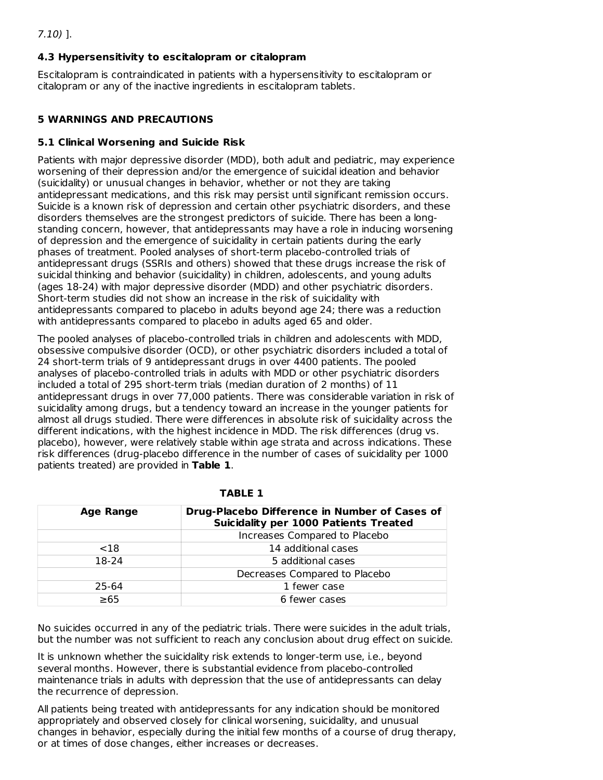### **4.3 Hypersensitivity to escitalopram or citalopram**

Escitalopram is contraindicated in patients with a hypersensitivity to escitalopram or citalopram or any of the inactive ingredients in escitalopram tablets.

# **5 WARNINGS AND PRECAUTIONS**

### **5.1 Clinical Worsening and Suicide Risk**

Patients with major depressive disorder (MDD), both adult and pediatric, may experience worsening of their depression and/or the emergence of suicidal ideation and behavior (suicidality) or unusual changes in behavior, whether or not they are taking antidepressant medications, and this risk may persist until significant remission occurs. Suicide is a known risk of depression and certain other psychiatric disorders, and these disorders themselves are the strongest predictors of suicide. There has been a longstanding concern, however, that antidepressants may have a role in inducing worsening of depression and the emergence of suicidality in certain patients during the early phases of treatment. Pooled analyses of short-term placebo-controlled trials of antidepressant drugs (SSRIs and others) showed that these drugs increase the risk of suicidal thinking and behavior (suicidality) in children, adolescents, and young adults (ages 18-24) with major depressive disorder (MDD) and other psychiatric disorders. Short-term studies did not show an increase in the risk of suicidality with antidepressants compared to placebo in adults beyond age 24; there was a reduction with antidepressants compared to placebo in adults aged 65 and older.

The pooled analyses of placebo-controlled trials in children and adolescents with MDD, obsessive compulsive disorder (OCD), or other psychiatric disorders included a total of 24 short-term trials of 9 antidepressant drugs in over 4400 patients. The pooled analyses of placebo-controlled trials in adults with MDD or other psychiatric disorders included a total of 295 short-term trials (median duration of 2 months) of 11 antidepressant drugs in over 77,000 patients. There was considerable variation in risk of suicidality among drugs, but a tendency toward an increase in the younger patients for almost all drugs studied. There were differences in absolute risk of suicidality across the different indications, with the highest incidence in MDD. The risk differences (drug vs. placebo), however, were relatively stable within age strata and across indications. These risk differences (drug-placebo difference in the number of cases of suicidality per 1000 patients treated) are provided in **Table 1**.

| <b>Age Range</b> | Drug-Placebo Difference in Number of Cases of<br><b>Suicidality per 1000 Patients Treated</b> |  |  |  |  |
|------------------|-----------------------------------------------------------------------------------------------|--|--|--|--|
|                  | Increases Compared to Placebo                                                                 |  |  |  |  |
| $<$ 18           | 14 additional cases                                                                           |  |  |  |  |
| 18-24            | 5 additional cases                                                                            |  |  |  |  |
|                  | Decreases Compared to Placebo                                                                 |  |  |  |  |
| 25-64            | 1 fewer case                                                                                  |  |  |  |  |
| >65              | 6 fewer cases                                                                                 |  |  |  |  |

|--|--|

No suicides occurred in any of the pediatric trials. There were suicides in the adult trials, but the number was not sufficient to reach any conclusion about drug effect on suicide.

It is unknown whether the suicidality risk extends to longer-term use, i.e., beyond several months. However, there is substantial evidence from placebo-controlled maintenance trials in adults with depression that the use of antidepressants can delay the recurrence of depression.

All patients being treated with antidepressants for any indication should be monitored appropriately and observed closely for clinical worsening, suicidality, and unusual changes in behavior, especially during the initial few months of a course of drug therapy, or at times of dose changes, either increases or decreases.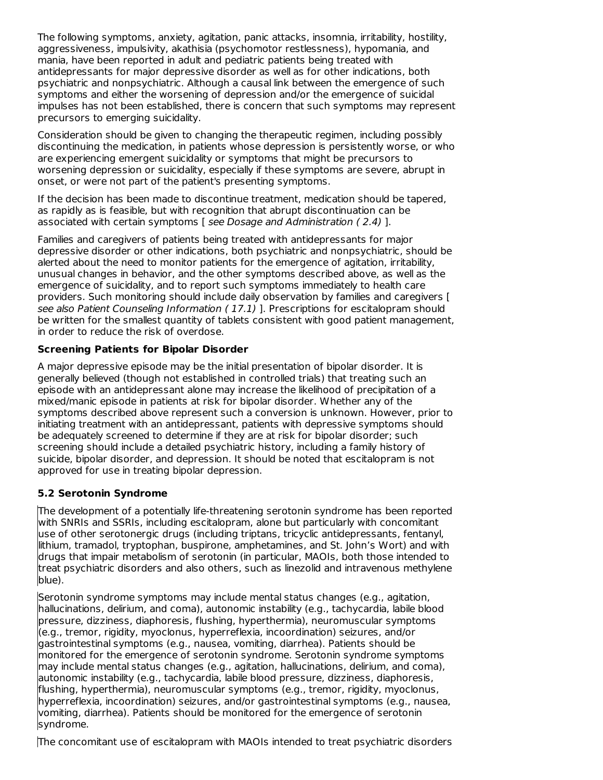The following symptoms, anxiety, agitation, panic attacks, insomnia, irritability, hostility, aggressiveness, impulsivity, akathisia (psychomotor restlessness), hypomania, and mania, have been reported in adult and pediatric patients being treated with antidepressants for major depressive disorder as well as for other indications, both psychiatric and nonpsychiatric. Although a causal link between the emergence of such symptoms and either the worsening of depression and/or the emergence of suicidal impulses has not been established, there is concern that such symptoms may represent precursors to emerging suicidality.

Consideration should be given to changing the therapeutic regimen, including possibly discontinuing the medication, in patients whose depression is persistently worse, or who are experiencing emergent suicidality or symptoms that might be precursors to worsening depression or suicidality, especially if these symptoms are severe, abrupt in onset, or were not part of the patient's presenting symptoms.

If the decision has been made to discontinue treatment, medication should be tapered, as rapidly as is feasible, but with recognition that abrupt discontinuation can be associated with certain symptoms [ see Dosage and Administration ( 2.4) ].

Families and caregivers of patients being treated with antidepressants for major depressive disorder or other indications, both psychiatric and nonpsychiatric, should be alerted about the need to monitor patients for the emergence of agitation, irritability, unusual changes in behavior, and the other symptoms described above, as well as the emergence of suicidality, and to report such symptoms immediately to health care providers. Such monitoring should include daily observation by families and caregivers [ see also Patient Counseling Information ( 17.1) ]. Prescriptions for escitalopram should be written for the smallest quantity of tablets consistent with good patient management, in order to reduce the risk of overdose.

### **Screening Patients for Bipolar Disorder**

A major depressive episode may be the initial presentation of bipolar disorder. It is generally believed (though not established in controlled trials) that treating such an episode with an antidepressant alone may increase the likelihood of precipitation of a mixed/manic episode in patients at risk for bipolar disorder. Whether any of the symptoms described above represent such a conversion is unknown. However, prior to initiating treatment with an antidepressant, patients with depressive symptoms should be adequately screened to determine if they are at risk for bipolar disorder; such screening should include a detailed psychiatric history, including a family history of suicide, bipolar disorder, and depression. It should be noted that escitalopram is not approved for use in treating bipolar depression.

# **5.2 Serotonin Syndrome**

The development of a potentially life-threatening serotonin syndrome has been reported with SNRIs and SSRIs, including escitalopram, alone but particularly with concomitant use of other serotonergic drugs (including triptans, tricyclic antidepressants, fentanyl, lithium, tramadol, tryptophan, buspirone, amphetamines, and St. John's Wort) and with drugs that impair metabolism of serotonin (in particular, MAOIs, both those intended to treat psychiatric disorders and also others, such as linezolid and intravenous methylene blue).

Serotonin syndrome symptoms may include mental status changes (e.g., agitation, hallucinations, delirium, and coma), autonomic instability (e.g., tachycardia, labile blood pressure, dizziness, diaphoresis, flushing, hyperthermia), neuromuscular symptoms (e.g., tremor, rigidity, myoclonus, hyperreflexia, incoordination) seizures, and/or gastrointestinal symptoms (e.g., nausea, vomiting, diarrhea). Patients should be monitored for the emergence of serotonin syndrome. Serotonin syndrome symptoms may include mental status changes (e.g., agitation, hallucinations, delirium, and coma), autonomic instability (e.g., tachycardia, labile blood pressure, dizziness, diaphoresis, flushing, hyperthermia), neuromuscular symptoms (e.g., tremor, rigidity, myoclonus, hyperreflexia, incoordination) seizures, and/or gastrointestinal symptoms (e.g., nausea, vomiting, diarrhea). Patients should be monitored for the emergence of serotonin syndrome.

The concomitant use of escitalopram with MAOIs intended to treat psychiatric disorders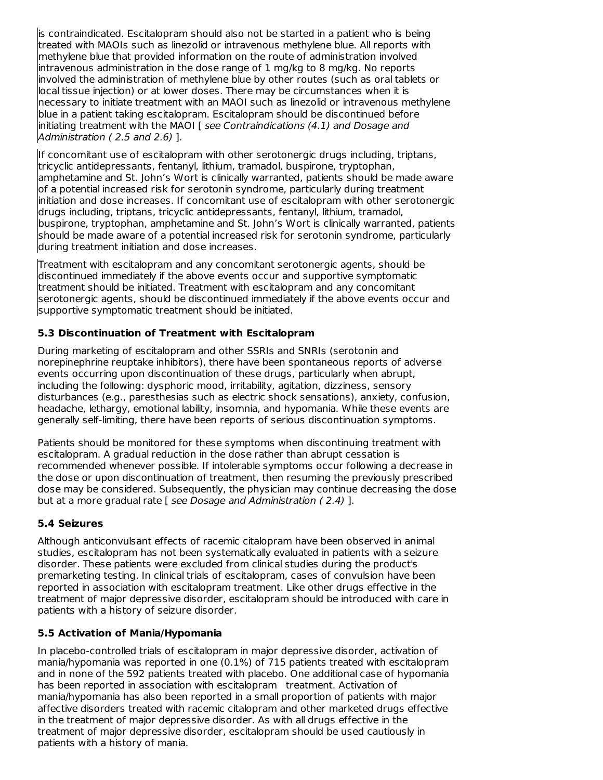is contraindicated. Escitalopram should also not be started in a patient who is being treated with MAOIs such as linezolid or intravenous methylene blue. All reports with methylene blue that provided information on the route of administration involved intravenous administration in the dose range of 1 mg/kg to 8 mg/kg. No reports involved the administration of methylene blue by other routes (such as oral tablets or local tissue injection) or at lower doses. There may be circumstances when it is necessary to initiate treatment with an MAOI such as linezolid or intravenous methylene blue in a patient taking escitalopram. Escitalopram should be discontinued before initiating treatment with the MAOI [ see Contraindications (4.1) and Dosage and Administration ( 2.5 and 2.6) ].

If concomitant use of escitalopram with other serotonergic drugs including, triptans, tricyclic antidepressants, fentanyl, lithium, tramadol, buspirone, tryptophan, amphetamine and St. John's Wort is clinically warranted, patients should be made aware of a potential increased risk for serotonin syndrome, particularly during treatment initiation and dose increases. If concomitant use of escitalopram with other serotonergic drugs including, triptans, tricyclic antidepressants, fentanyl, lithium, tramadol, buspirone, tryptophan, amphetamine and St. John's Wort is clinically warranted, patients should be made aware of a potential increased risk for serotonin syndrome, particularly during treatment initiation and dose increases.

Treatment with escitalopram and any concomitant serotonergic agents, should be discontinued immediately if the above events occur and supportive symptomatic treatment should be initiated. Treatment with escitalopram and any concomitant serotonergic agents, should be discontinued immediately if the above events occur and supportive symptomatic treatment should be initiated.

# **5.3 Discontinuation of Treatment with Escitalopram**

During marketing of escitalopram and other SSRIs and SNRIs (serotonin and norepinephrine reuptake inhibitors), there have been spontaneous reports of adverse events occurring upon discontinuation of these drugs, particularly when abrupt, including the following: dysphoric mood, irritability, agitation, dizziness, sensory disturbances (e.g., paresthesias such as electric shock sensations), anxiety, confusion, headache, lethargy, emotional lability, insomnia, and hypomania. While these events are generally self-limiting, there have been reports of serious discontinuation symptoms.

Patients should be monitored for these symptoms when discontinuing treatment with escitalopram. A gradual reduction in the dose rather than abrupt cessation is recommended whenever possible. If intolerable symptoms occur following a decrease in the dose or upon discontinuation of treatment, then resuming the previously prescribed dose may be considered. Subsequently, the physician may continue decreasing the dose but at a more gradual rate [ see Dosage and Administration (2.4) ].

### **5.4 Seizures**

Although anticonvulsant effects of racemic citalopram have been observed in animal studies, escitalopram has not been systematically evaluated in patients with a seizure disorder. These patients were excluded from clinical studies during the product's premarketing testing. In clinical trials of escitalopram, cases of convulsion have been reported in association with escitalopram treatment. Like other drugs effective in the treatment of major depressive disorder, escitalopram should be introduced with care in patients with a history of seizure disorder.

### **5.5 Activation of Mania/Hypomania**

In placebo-controlled trials of escitalopram in major depressive disorder, activation of mania/hypomania was reported in one (0.1%) of 715 patients treated with escitalopram and in none of the 592 patients treated with placebo. One additional case of hypomania has been reported in association with escitalopram treatment. Activation of mania/hypomania has also been reported in a small proportion of patients with major affective disorders treated with racemic citalopram and other marketed drugs effective in the treatment of major depressive disorder. As with all drugs effective in the treatment of major depressive disorder, escitalopram should be used cautiously in patients with a history of mania.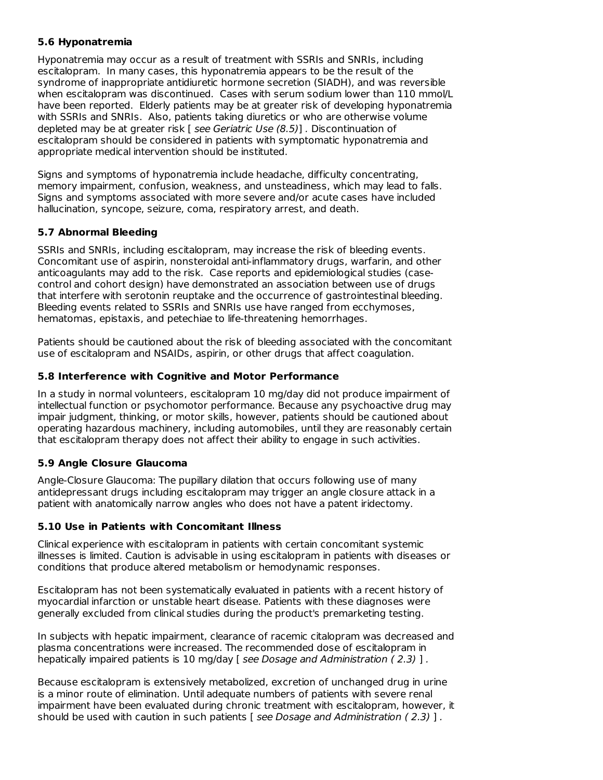### **5.6 Hyponatremia**

Hyponatremia may occur as a result of treatment with SSRIs and SNRIs, including escitalopram. In many cases, this hyponatremia appears to be the result of the syndrome of inappropriate antidiuretic hormone secretion (SIADH), and was reversible when escitalopram was discontinued. Cases with serum sodium lower than 110 mmol/L have been reported. Elderly patients may be at greater risk of developing hyponatremia with SSRIs and SNRIs. Also, patients taking diuretics or who are otherwise volume depleted may be at greater risk [ see Geriatric Use (8.5)] . Discontinuation of escitalopram should be considered in patients with symptomatic hyponatremia and appropriate medical intervention should be instituted.

Signs and symptoms of hyponatremia include headache, difficulty concentrating, memory impairment, confusion, weakness, and unsteadiness, which may lead to falls. Signs and symptoms associated with more severe and/or acute cases have included hallucination, syncope, seizure, coma, respiratory arrest, and death.

# **5.7 Abnormal Bleeding**

SSRIs and SNRIs, including escitalopram, may increase the risk of bleeding events. Concomitant use of aspirin, nonsteroidal anti-inflammatory drugs, warfarin, and other anticoagulants may add to the risk. Case reports and epidemiological studies (casecontrol and cohort design) have demonstrated an association between use of drugs that interfere with serotonin reuptake and the occurrence of gastrointestinal bleeding. Bleeding events related to SSRIs and SNRIs use have ranged from ecchymoses, hematomas, epistaxis, and petechiae to life-threatening hemorrhages.

Patients should be cautioned about the risk of bleeding associated with the concomitant use of escitalopram and NSAIDs, aspirin, or other drugs that affect coagulation.

### **5.8 Interference with Cognitive and Motor Performance**

In a study in normal volunteers, escitalopram 10 mg/day did not produce impairment of intellectual function or psychomotor performance. Because any psychoactive drug may impair judgment, thinking, or motor skills, however, patients should be cautioned about operating hazardous machinery, including automobiles, until they are reasonably certain that escitalopram therapy does not affect their ability to engage in such activities.

# **5.9 Angle Closure Glaucoma**

Angle-Closure Glaucoma: The pupillary dilation that occurs following use of many antidepressant drugs including escitalopram may trigger an angle closure attack in a patient with anatomically narrow angles who does not have a patent iridectomy.

### **5.10 Use in Patients with Concomitant Illness**

Clinical experience with escitalopram in patients with certain concomitant systemic illnesses is limited. Caution is advisable in using escitalopram in patients with diseases or conditions that produce altered metabolism or hemodynamic responses.

Escitalopram has not been systematically evaluated in patients with a recent history of myocardial infarction or unstable heart disease. Patients with these diagnoses were generally excluded from clinical studies during the product's premarketing testing.

In subjects with hepatic impairment, clearance of racemic citalopram was decreased and plasma concentrations were increased. The recommended dose of escitalopram in hepatically impaired patients is 10 mg/day [ see Dosage and Administration (2.3) ].

Because escitalopram is extensively metabolized, excretion of unchanged drug in urine is a minor route of elimination. Until adequate numbers of patients with severe renal impairment have been evaluated during chronic treatment with escitalopram, however, it should be used with caution in such patients [ see Dosage and Administration (2.3) ].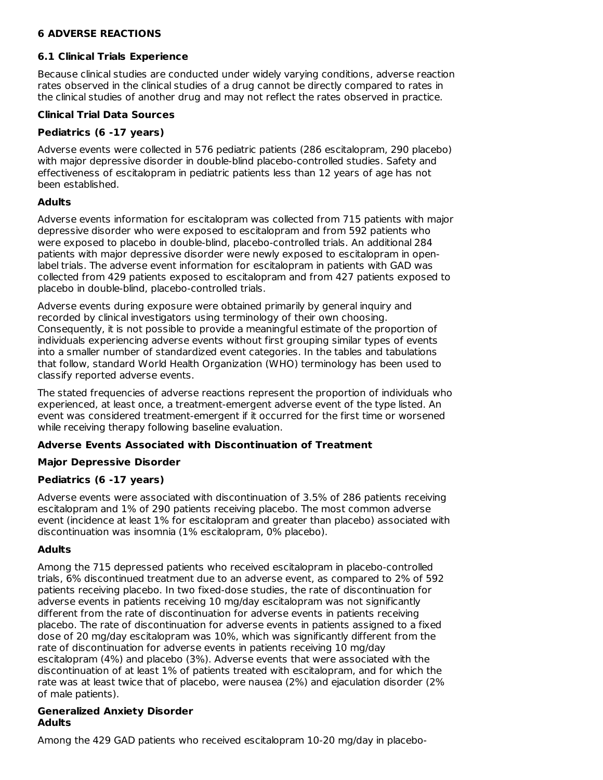### **6 ADVERSE REACTIONS**

### **6.1 Clinical Trials Experience**

Because clinical studies are conducted under widely varying conditions, adverse reaction rates observed in the clinical studies of a drug cannot be directly compared to rates in the clinical studies of another drug and may not reflect the rates observed in practice.

### **Clinical Trial Data Sources**

#### **Pediatrics (6 -17 years)**

Adverse events were collected in 576 pediatric patients (286 escitalopram, 290 placebo) with major depressive disorder in double-blind placebo-controlled studies. Safety and effectiveness of escitalopram in pediatric patients less than 12 years of age has not been established.

#### **Adults**

Adverse events information for escitalopram was collected from 715 patients with major depressive disorder who were exposed to escitalopram and from 592 patients who were exposed to placebo in double-blind, placebo-controlled trials. An additional 284 patients with major depressive disorder were newly exposed to escitalopram in openlabel trials. The adverse event information for escitalopram in patients with GAD was collected from 429 patients exposed to escitalopram and from 427 patients exposed to placebo in double-blind, placebo-controlled trials.

Adverse events during exposure were obtained primarily by general inquiry and recorded by clinical investigators using terminology of their own choosing. Consequently, it is not possible to provide a meaningful estimate of the proportion of individuals experiencing adverse events without first grouping similar types of events into a smaller number of standardized event categories. In the tables and tabulations that follow, standard World Health Organization (WHO) terminology has been used to classify reported adverse events.

The stated frequencies of adverse reactions represent the proportion of individuals who experienced, at least once, a treatment-emergent adverse event of the type listed. An event was considered treatment-emergent if it occurred for the first time or worsened while receiving therapy following baseline evaluation.

### **Adverse Events Associated with Discontinuation of Treatment**

### **Major Depressive Disorder**

### **Pediatrics (6 -17 years)**

Adverse events were associated with discontinuation of 3.5% of 286 patients receiving escitalopram and 1% of 290 patients receiving placebo. The most common adverse event (incidence at least 1% for escitalopram and greater than placebo) associated with discontinuation was insomnia (1% escitalopram, 0% placebo).

### **Adults**

Among the 715 depressed patients who received escitalopram in placebo-controlled trials, 6% discontinued treatment due to an adverse event, as compared to 2% of 592 patients receiving placebo. In two fixed-dose studies, the rate of discontinuation for adverse events in patients receiving 10 mg/day escitalopram was not significantly different from the rate of discontinuation for adverse events in patients receiving placebo. The rate of discontinuation for adverse events in patients assigned to a fixed dose of 20 mg/day escitalopram was 10%, which was significantly different from the rate of discontinuation for adverse events in patients receiving 10 mg/day escitalopram (4%) and placebo (3%). Adverse events that were associated with the discontinuation of at least 1% of patients treated with escitalopram, and for which the rate was at least twice that of placebo, were nausea (2%) and ejaculation disorder (2% of male patients).

#### **Generalized Anxiety Disorder Adults**

Among the 429 GAD patients who received escitalopram 10-20 mg/day in placebo-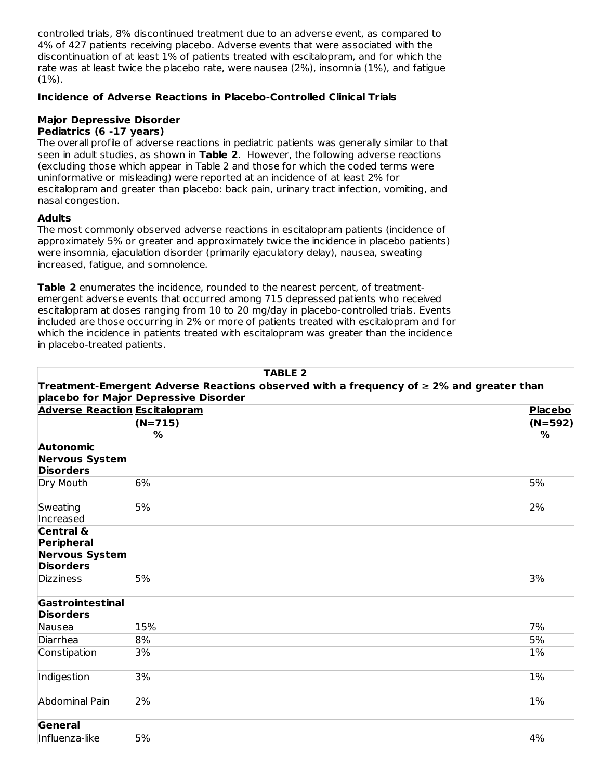controlled trials, 8% discontinued treatment due to an adverse event, as compared to 4% of 427 patients receiving placebo. Adverse events that were associated with the discontinuation of at least 1% of patients treated with escitalopram, and for which the rate was at least twice the placebo rate, were nausea (2%), insomnia (1%), and fatigue  $(1\%)$ .

### **Incidence of Adverse Reactions in Placebo-Controlled Clinical Trials**

#### **Major Depressive Disorder Pediatrics (6 -17 years)**

The overall profile of adverse reactions in pediatric patients was generally similar to that seen in adult studies, as shown in **Table 2**. However, the following adverse reactions (excluding those which appear in Table 2 and those for which the coded terms were uninformative or misleading) were reported at an incidence of at least 2% for escitalopram and greater than placebo: back pain, urinary tract infection, vomiting, and nasal congestion.

### **Adults**

The most commonly observed adverse reactions in escitalopram patients (incidence of approximately 5% or greater and approximately twice the incidence in placebo patients) were insomnia, ejaculation disorder (primarily ejaculatory delay), nausea, sweating increased, fatigue, and somnolence.

**Table 2** enumerates the incidence, rounded to the nearest percent, of treatmentemergent adverse events that occurred among 715 depressed patients who received escitalopram at doses ranging from 10 to 20 mg/day in placebo-controlled trials. Events included are those occurring in 2% or more of patients treated with escitalopram and for which the incidence in patients treated with escitalopram was greater than the incidence in placebo-treated patients.

|                                                                                                                                        | <b>TABLE 2</b>                                         |                |  |  |  |
|----------------------------------------------------------------------------------------------------------------------------------------|--------------------------------------------------------|----------------|--|--|--|
| Treatment-Emergent Adverse Reactions observed with a frequency of $\geq 2\%$ and greater than<br>placebo for Major Depressive Disorder |                                                        |                |  |  |  |
|                                                                                                                                        | <b>Adverse Reaction Escitalopram</b><br><b>Placebo</b> |                |  |  |  |
|                                                                                                                                        | $(N=715)$<br>%                                         | $(N=592)$<br>% |  |  |  |
| <b>Autonomic</b><br><b>Nervous System</b><br><b>Disorders</b>                                                                          |                                                        |                |  |  |  |
| Dry Mouth                                                                                                                              | 6%                                                     | 5%             |  |  |  |
| Sweating<br>Increased                                                                                                                  | 5%                                                     | 2%             |  |  |  |
| <b>Central &amp;</b><br>Peripheral<br><b>Nervous System</b><br><b>Disorders</b>                                                        |                                                        |                |  |  |  |
| <b>Dizziness</b>                                                                                                                       | 5%                                                     | 3%             |  |  |  |
| Gastrointestinal<br><b>Disorders</b>                                                                                                   |                                                        |                |  |  |  |
| Nausea                                                                                                                                 | 15%                                                    | 7%             |  |  |  |
| Diarrhea                                                                                                                               | 8%                                                     | 5%             |  |  |  |
| Constipation                                                                                                                           | 3%                                                     | 1%             |  |  |  |
| Indigestion                                                                                                                            | 3%                                                     | 1%             |  |  |  |
| Abdominal Pain                                                                                                                         | 2%                                                     | 1%             |  |  |  |
| General                                                                                                                                |                                                        |                |  |  |  |
| Influenza-like                                                                                                                         | 5%                                                     | 4%             |  |  |  |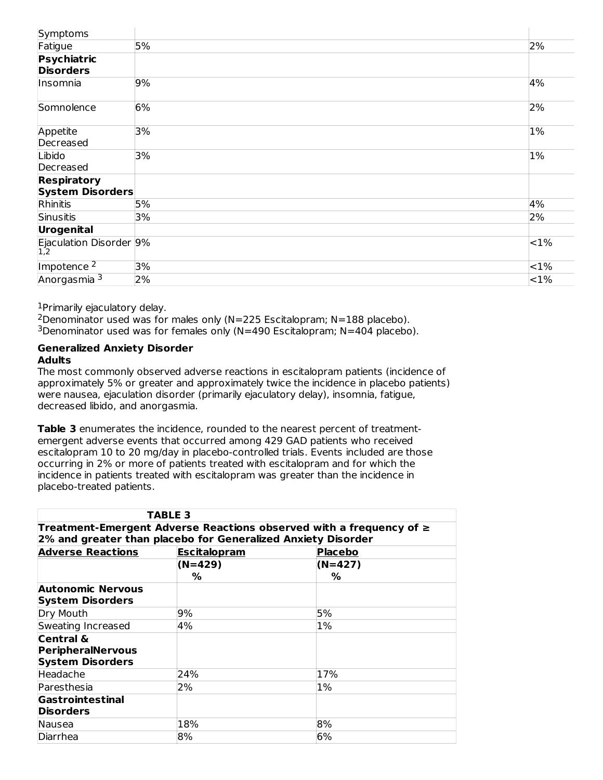| Symptoms                                      |    |          |
|-----------------------------------------------|----|----------|
| Fatigue                                       | 5% | 2%       |
| Psychiatric<br><b>Disorders</b>               |    |          |
| Insomnia                                      | 9% | 4%       |
| Somnolence                                    | 6% | 2%       |
| Appetite<br>Decreased                         | 3% | 1%       |
| Libido<br>Decreased                           | 3% | 1%       |
| <b>Respiratory</b><br><b>System Disorders</b> |    |          |
| Rhinitis                                      | 5% | 4%       |
| Sinusitis                                     | 3% | 2%       |
| <b>Urogenital</b>                             |    |          |
| Ejaculation Disorder 9%                       |    | <1%      |
| Impotence $\overline{2}$                      | 3% | <1%      |
| Anorgasmia <sup>3</sup>                       | 2% | ${<}1\%$ |

<sup>1</sup>Primarily ejaculatory delay.

<sup>2</sup>Denominator used was for males only (N=225 Escitalopram; N=188 placebo). <sup>3</sup>Denominator used was for females only (N=490 Escitalopram; N=404 placebo).

#### **Generalized Anxiety Disorder Adults**

The most commonly observed adverse reactions in escitalopram patients (incidence of approximately 5% or greater and approximately twice the incidence in placebo patients) were nausea, ejaculation disorder (primarily ejaculatory delay), insomnia, fatigue, decreased libido, and anorgasmia.

**Table 3** enumerates the incidence, rounded to the nearest percent of treatmentemergent adverse events that occurred among 429 GAD patients who received escitalopram 10 to 20 mg/day in placebo-controlled trials. Events included are those occurring in 2% or more of patients treated with escitalopram and for which the incidence in patients treated with escitalopram was greater than the incidence in placebo-treated patients.

|                                                                                                                                          | TABLE 3        |                |  |  |  |
|------------------------------------------------------------------------------------------------------------------------------------------|----------------|----------------|--|--|--|
| Treatment-Emergent Adverse Reactions observed with a frequency of $\geq$<br>2% and greater than placebo for Generalized Anxiety Disorder |                |                |  |  |  |
| <b>Adverse Reactions</b>                                                                                                                 | <b>Placebo</b> |                |  |  |  |
|                                                                                                                                          | $(N=429)$<br>% | $(N=427)$<br>% |  |  |  |
| Autonomic Nervous<br><b>System Disorders</b>                                                                                             |                |                |  |  |  |
| Dry Mouth                                                                                                                                | 9%             | 5%             |  |  |  |
| Sweating Increased                                                                                                                       | 4%             | 1%             |  |  |  |
| <b>Central &amp;</b><br>PeripheralNervous<br><b>System Disorders</b>                                                                     |                |                |  |  |  |
| Headache                                                                                                                                 | 24%            | 17%            |  |  |  |
| Paresthesia                                                                                                                              | 2%             | 1%             |  |  |  |
| Gastrointestinal<br><b>Disorders</b>                                                                                                     |                |                |  |  |  |
| Nausea                                                                                                                                   | 18%            | 8%             |  |  |  |
| Diarrhea                                                                                                                                 | 8%             | 6%             |  |  |  |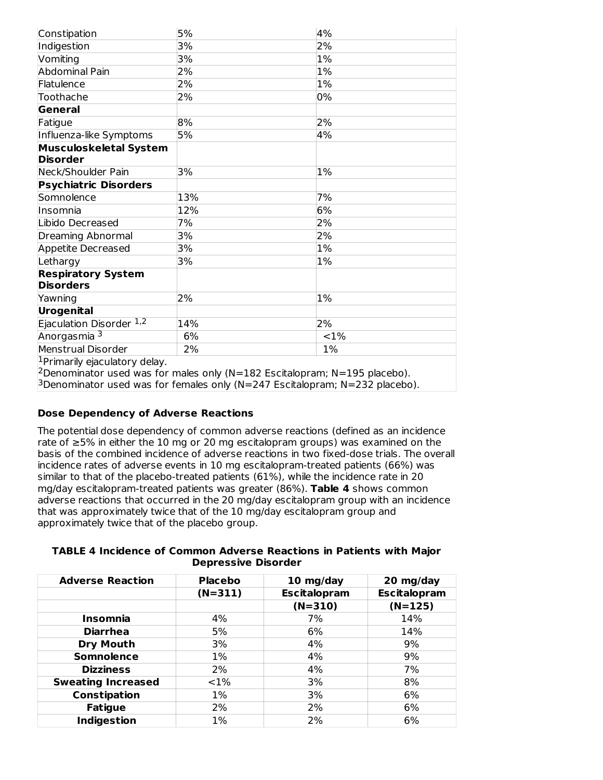| Constipation                                                                          | 5%  | 4%   |
|---------------------------------------------------------------------------------------|-----|------|
| Indigestion                                                                           | 3%  | 2%   |
| Vomiting                                                                              | 3%  | 1%   |
| Abdominal Pain                                                                        | 2%  | 1%   |
| Flatulence                                                                            | 2%  | 1%   |
| Toothache                                                                             | 2%  | 0%   |
| General                                                                               |     |      |
| Fatigue                                                                               | 8%  | 2%   |
| Influenza-like Symptoms                                                               | 5%  | 4%   |
| <b>Musculoskeletal System</b><br>Disorder                                             |     |      |
| Neck/Shoulder Pain                                                                    | 3%  | 1%   |
| <b>Psychiatric Disorders</b>                                                          |     |      |
| Somnolence                                                                            | 13% | 7%   |
| Insomnia                                                                              | 12% | 6%   |
| Libido Decreased                                                                      | 7%  | 2%   |
| Dreaming Abnormal                                                                     | 3%  | 2%   |
| Appetite Decreased                                                                    | 3%  | 1%   |
| Lethargy                                                                              | 3%  | 1%   |
| <b>Respiratory System</b>                                                             |     |      |
| <b>Disorders</b>                                                                      |     |      |
| Yawning                                                                               | 2%  | 1%   |
| Urogenital                                                                            |     |      |
| Ejaculation Disorder 1,2                                                              | 14% | 2%   |
| Anorgasmia <sup>3</sup>                                                               | 6%  | < 1% |
| Menstrual Disorder                                                                    | 2%  | 1%   |
| <sup>1</sup> Primarily ejaculatory delay.                                             |     |      |
| <sup>2</sup> Denominator used was for males only (N=182 Escitalopram; N=195 placebo). |     |      |

<sup>3</sup>Denominator used was for females only (N=247 Escitalopram; N=232 placebo).

### **Dose Dependency of Adverse Reactions**

The potential dose dependency of common adverse reactions (defined as an incidence rate of ≥5% in either the 10 mg or 20 mg escitalopram groups) was examined on the basis of the combined incidence of adverse reactions in two fixed-dose trials. The overall incidence rates of adverse events in 10 mg escitalopram-treated patients (66%) was similar to that of the placebo-treated patients (61%), while the incidence rate in 20 mg/day escitalopram-treated patients was greater (86%). **Table 4** shows common adverse reactions that occurred in the 20 mg/day escitalopram group with an incidence that was approximately twice that of the 10 mg/day escitalopram group and approximately twice that of the placebo group.

**TABLE 4 Incidence of Common Adverse Reactions in Patients with Major Depressive Disorder**

| <b>Adverse Reaction</b>   | <b>Placebo</b> | 10 mg/day           | 20 mg/day           |
|---------------------------|----------------|---------------------|---------------------|
|                           | $(N=311)$      | <b>Escitalopram</b> | <b>Escitalopram</b> |
|                           |                | $(N=310)$           | $(N=125)$           |
| <b>Insomnia</b>           | 4%             | 7%                  | 14%                 |
| <b>Diarrhea</b>           | 5%             | 6%                  | 14%                 |
| <b>Dry Mouth</b>          | 3%             | 4%                  | 9%                  |
| <b>Somnolence</b>         | $1\%$          | 4%                  | 9%                  |
| <b>Dizziness</b>          | 2%             | 4%                  | 7%                  |
| <b>Sweating Increased</b> | ${<}1\%$       | 3%                  | 8%                  |
| <b>Constipation</b>       | $1\%$          | 3%                  | 6%                  |
| <b>Fatigue</b>            | 2%             | 2%                  | 6%                  |
| <b>Indigestion</b>        | 1%             | 2%                  | 6%                  |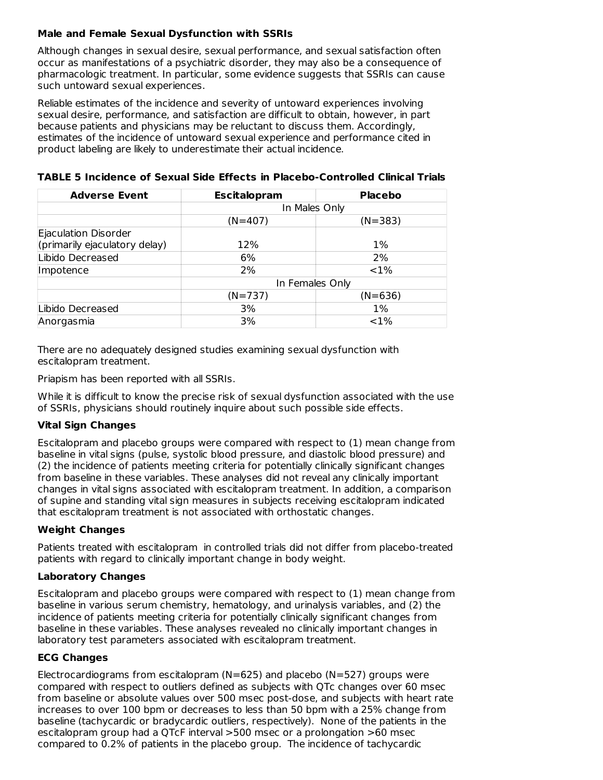### **Male and Female Sexual Dysfunction with SSRIs**

Although changes in sexual desire, sexual performance, and sexual satisfaction often occur as manifestations of a psychiatric disorder, they may also be a consequence of pharmacologic treatment. In particular, some evidence suggests that SSRIs can cause such untoward sexual experiences.

Reliable estimates of the incidence and severity of untoward experiences involving sexual desire, performance, and satisfaction are difficult to obtain, however, in part because patients and physicians may be reluctant to discuss them. Accordingly, estimates of the incidence of untoward sexual experience and performance cited in product labeling are likely to underestimate their actual incidence.

| <b>Adverse Event</b>          | <b>Escitalopram</b> | <b>Placebo</b> |
|-------------------------------|---------------------|----------------|
|                               | In Males Only       |                |
|                               | $(N=407)$           | $(N=383)$      |
| Ejaculation Disorder          |                     |                |
| (primarily ejaculatory delay) | 12%                 | $1\%$          |
| Libido Decreased              | 6%                  | 2%             |
| Impotence                     | 2%                  | $< 1\%$        |
|                               | In Females Only     |                |
|                               | $(N=737)$           | $(N=636)$      |
| Libido Decreased              | 3%                  | $1\%$          |
| Anorgasmia                    | 3%                  | ${<}1\%$       |

**TABLE 5 Incidence of Sexual Side Effects in Placebo-Controlled Clinical Trials**

There are no adequately designed studies examining sexual dysfunction with escitalopram treatment.

Priapism has been reported with all SSRIs.

While it is difficult to know the precise risk of sexual dysfunction associated with the use of SSRIs, physicians should routinely inquire about such possible side effects.

### **Vital Sign Changes**

Escitalopram and placebo groups were compared with respect to (1) mean change from baseline in vital signs (pulse, systolic blood pressure, and diastolic blood pressure) and (2) the incidence of patients meeting criteria for potentially clinically significant changes from baseline in these variables. These analyses did not reveal any clinically important changes in vital signs associated with escitalopram treatment. In addition, a comparison of supine and standing vital sign measures in subjects receiving escitalopram indicated that escitalopram treatment is not associated with orthostatic changes.

### **Weight Changes**

Patients treated with escitalopram in controlled trials did not differ from placebo-treated patients with regard to clinically important change in body weight.

### **Laboratory Changes**

Escitalopram and placebo groups were compared with respect to (1) mean change from baseline in various serum chemistry, hematology, and urinalysis variables, and (2) the incidence of patients meeting criteria for potentially clinically significant changes from baseline in these variables. These analyses revealed no clinically important changes in laboratory test parameters associated with escitalopram treatment.

### **ECG Changes**

Electrocardiograms from escitalopram  $(N=625)$  and placebo  $(N=527)$  groups were compared with respect to outliers defined as subjects with QTc changes over 60 msec from baseline or absolute values over 500 msec post-dose, and subjects with heart rate increases to over 100 bpm or decreases to less than 50 bpm with a 25% change from baseline (tachycardic or bradycardic outliers, respectively). None of the patients in the escitalopram group had a QTcF interval >500 msec or a prolongation >60 msec compared to 0.2% of patients in the placebo group. The incidence of tachycardic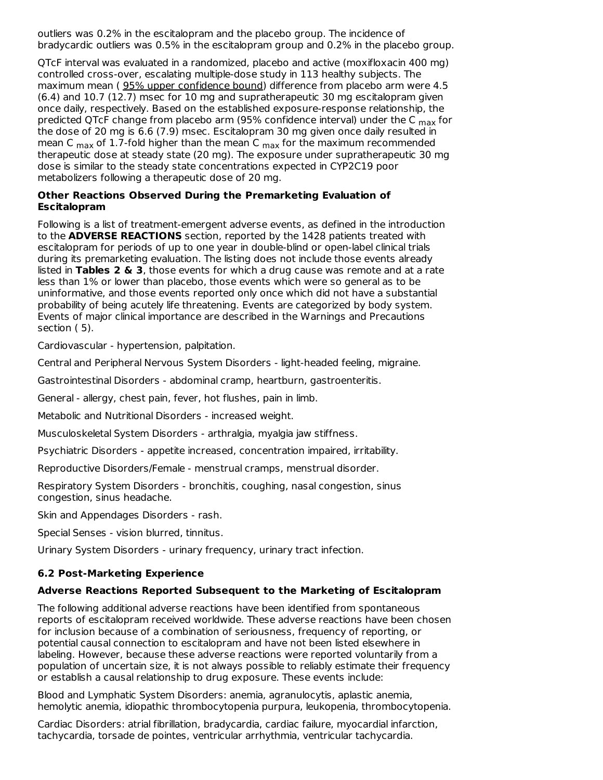outliers was 0.2% in the escitalopram and the placebo group. The incidence of bradycardic outliers was 0.5% in the escitalopram group and 0.2% in the placebo group.

QTcF interval was evaluated in a randomized, placebo and active (moxifloxacin 400 mg) controlled cross-over, escalating multiple-dose study in 113 healthy subjects. The maximum mean (95% upper confidence bound) difference from placebo arm were 4.5 (6.4) and 10.7 (12.7) msec for 10 mg and supratherapeutic 30 mg escitalopram given once daily, respectively. Based on the established exposure-response relationship, the predicted QTcF change from placebo arm (95% confidence interval) under the C  $_{\sf max}$  for the dose of 20 mg is 6.6 (7.9) msec. Escitalopram 30 mg given once daily resulted in mean C  $_{\text{max}}$  of 1.7-fold higher than the mean C  $_{\text{max}}$  for the maximum recommended therapeutic dose at steady state (20 mg). The exposure under supratherapeutic 30 mg dose is similar to the steady state concentrations expected in CYP2C19 poor metabolizers following a therapeutic dose of 20 mg.

### **Other Reactions Observed During the Premarketing Evaluation of Escitalopram**

Following is a list of treatment-emergent adverse events, as defined in the introduction to the **ADVERSE REACTIONS** section, reported by the 1428 patients treated with escitalopram for periods of up to one year in double-blind or open-label clinical trials during its premarketing evaluation. The listing does not include those events already listed in **Tables 2 & 3**, those events for which a drug cause was remote and at a rate less than 1% or lower than placebo, those events which were so general as to be uninformative, and those events reported only once which did not have a substantial probability of being acutely life threatening. Events are categorized by body system. Events of major clinical importance are described in the Warnings and Precautions section ( 5).

Cardiovascular - hypertension, palpitation.

Central and Peripheral Nervous System Disorders - light-headed feeling, migraine.

Gastrointestinal Disorders - abdominal cramp, heartburn, gastroenteritis.

General - allergy, chest pain, fever, hot flushes, pain in limb.

Metabolic and Nutritional Disorders - increased weight.

Musculoskeletal System Disorders - arthralgia, myalgia jaw stiffness.

Psychiatric Disorders - appetite increased, concentration impaired, irritability.

Reproductive Disorders/Female - menstrual cramps, menstrual disorder.

Respiratory System Disorders - bronchitis, coughing, nasal congestion, sinus congestion, sinus headache.

Skin and Appendages Disorders - rash.

Special Senses - vision blurred, tinnitus.

Urinary System Disorders - urinary frequency, urinary tract infection.

### **6.2 Post-Marketing Experience**

### **Adverse Reactions Reported Subsequent to the Marketing of Escitalopram**

The following additional adverse reactions have been identified from spontaneous reports of escitalopram received worldwide. These adverse reactions have been chosen for inclusion because of a combination of seriousness, frequency of reporting, or potential causal connection to escitalopram and have not been listed elsewhere in labeling. However, because these adverse reactions were reported voluntarily from a population of uncertain size, it is not always possible to reliably estimate their frequency or establish a causal relationship to drug exposure. These events include:

Blood and Lymphatic System Disorders: anemia, agranulocytis, aplastic anemia, hemolytic anemia, idiopathic thrombocytopenia purpura, leukopenia, thrombocytopenia.

Cardiac Disorders: atrial fibrillation, bradycardia, cardiac failure, myocardial infarction, tachycardia, torsade de pointes, ventricular arrhythmia, ventricular tachycardia.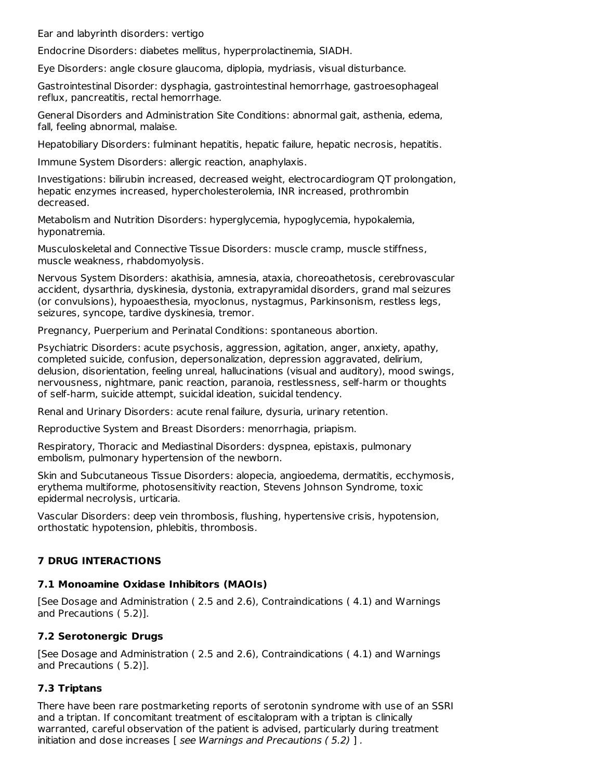Ear and labyrinth disorders: vertigo

Endocrine Disorders: diabetes mellitus, hyperprolactinemia, SIADH.

Eye Disorders: angle closure glaucoma, diplopia, mydriasis, visual disturbance.

Gastrointestinal Disorder: dysphagia, gastrointestinal hemorrhage, gastroesophageal reflux, pancreatitis, rectal hemorrhage.

General Disorders and Administration Site Conditions: abnormal gait, asthenia, edema, fall, feeling abnormal, malaise.

Hepatobiliary Disorders: fulminant hepatitis, hepatic failure, hepatic necrosis, hepatitis.

Immune System Disorders: allergic reaction, anaphylaxis.

Investigations: bilirubin increased, decreased weight, electrocardiogram QT prolongation, hepatic enzymes increased, hypercholesterolemia, INR increased, prothrombin decreased.

Metabolism and Nutrition Disorders: hyperglycemia, hypoglycemia, hypokalemia, hyponatremia.

Musculoskeletal and Connective Tissue Disorders: muscle cramp, muscle stiffness, muscle weakness, rhabdomyolysis.

Nervous System Disorders: akathisia, amnesia, ataxia, choreoathetosis, cerebrovascular accident, dysarthria, dyskinesia, dystonia, extrapyramidal disorders, grand mal seizures (or convulsions), hypoaesthesia, myoclonus, nystagmus, Parkinsonism, restless legs, seizures, syncope, tardive dyskinesia, tremor.

Pregnancy, Puerperium and Perinatal Conditions: spontaneous abortion.

Psychiatric Disorders: acute psychosis, aggression, agitation, anger, anxiety, apathy, completed suicide, confusion, depersonalization, depression aggravated, delirium, delusion, disorientation, feeling unreal, hallucinations (visual and auditory), mood swings, nervousness, nightmare, panic reaction, paranoia, restlessness, self-harm or thoughts of self-harm, suicide attempt, suicidal ideation, suicidal tendency.

Renal and Urinary Disorders: acute renal failure, dysuria, urinary retention.

Reproductive System and Breast Disorders: menorrhagia, priapism.

Respiratory, Thoracic and Mediastinal Disorders: dyspnea, epistaxis, pulmonary embolism, pulmonary hypertension of the newborn.

Skin and Subcutaneous Tissue Disorders: alopecia, angioedema, dermatitis, ecchymosis, erythema multiforme, photosensitivity reaction, Stevens Johnson Syndrome, toxic epidermal necrolysis, urticaria.

Vascular Disorders: deep vein thrombosis, flushing, hypertensive crisis, hypotension, orthostatic hypotension, phlebitis, thrombosis.

# **7 DRUG INTERACTIONS**

### **7.1 Monoamine Oxidase Inhibitors (MAOIs)**

[See Dosage and Administration ( 2.5 and 2.6), Contraindications ( 4.1) and Warnings and Precautions ( 5.2)].

# **7.2 Serotonergic Drugs**

[See Dosage and Administration ( 2.5 and 2.6), Contraindications ( 4.1) and Warnings and Precautions ( 5.2)].

# **7.3 Triptans**

There have been rare postmarketing reports of serotonin syndrome with use of an SSRI and a triptan. If concomitant treatment of escitalopram with a triptan is clinically warranted, careful observation of the patient is advised, particularly during treatment initiation and dose increases [ see Warnings and Precautions ( 5.2) ] .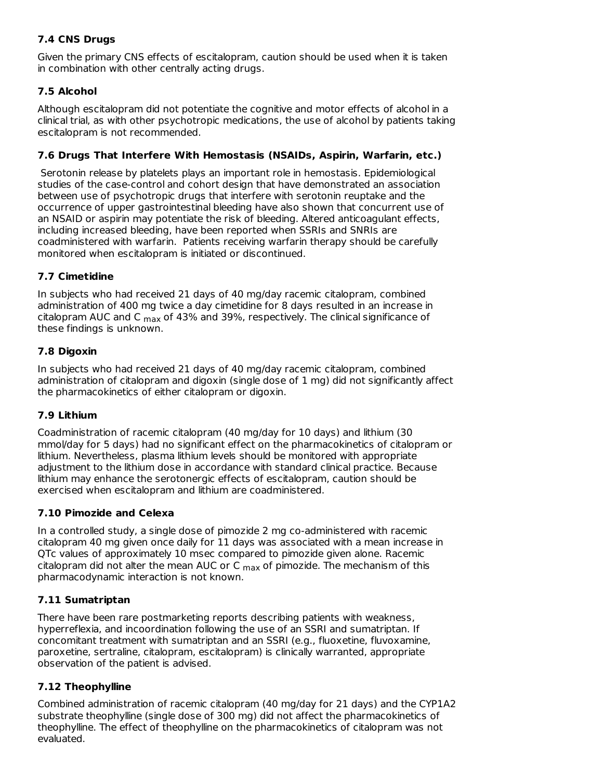# **7.4 CNS Drugs**

Given the primary CNS effects of escitalopram, caution should be used when it is taken in combination with other centrally acting drugs.

# **7.5 Alcohol**

Although escitalopram did not potentiate the cognitive and motor effects of alcohol in a clinical trial, as with other psychotropic medications, the use of alcohol by patients taking escitalopram is not recommended.

### **7.6 Drugs That Interfere With Hemostasis (NSAIDs, Aspirin, Warfarin, etc.)**

Serotonin release by platelets plays an important role in hemostasis. Epidemiological studies of the case-control and cohort design that have demonstrated an association between use of psychotropic drugs that interfere with serotonin reuptake and the occurrence of upper gastrointestinal bleeding have also shown that concurrent use of an NSAID or aspirin may potentiate the risk of bleeding. Altered anticoagulant effects, including increased bleeding, have been reported when SSRIs and SNRIs are coadministered with warfarin. Patients receiving warfarin therapy should be carefully monitored when escitalopram is initiated or discontinued.

# **7.7 Cimetidine**

In subjects who had received 21 days of 40 mg/day racemic citalopram, combined administration of 400 mg twice a day cimetidine for 8 days resulted in an increase in citalopram AUC and C  $_{\sf max}$  of 43% and 39%, respectively. The clinical significance of these findings is unknown.

# **7.8 Digoxin**

In subjects who had received 21 days of 40 mg/day racemic citalopram, combined administration of citalopram and digoxin (single dose of 1 mg) did not significantly affect the pharmacokinetics of either citalopram or digoxin.

# **7.9 Lithium**

Coadministration of racemic citalopram (40 mg/day for 10 days) and lithium (30 mmol/day for 5 days) had no significant effect on the pharmacokinetics of citalopram or lithium. Nevertheless, plasma lithium levels should be monitored with appropriate adjustment to the lithium dose in accordance with standard clinical practice. Because lithium may enhance the serotonergic effects of escitalopram, caution should be exercised when escitalopram and lithium are coadministered.

# **7.10 Pimozide and Celexa**

In a controlled study, a single dose of pimozide 2 mg co-administered with racemic citalopram 40 mg given once daily for 11 days was associated with a mean increase in QTc values of approximately 10 msec compared to pimozide given alone. Racemic citalopram did not alter the mean AUC or C  $_{\sf max}$  of pimozide. The mechanism of this pharmacodynamic interaction is not known.

# **7.11 Sumatriptan**

There have been rare postmarketing reports describing patients with weakness, hyperreflexia, and incoordination following the use of an SSRI and sumatriptan. If concomitant treatment with sumatriptan and an SSRI (e.g., fluoxetine, fluvoxamine, paroxetine, sertraline, citalopram, escitalopram) is clinically warranted, appropriate observation of the patient is advised.

# **7.12 Theophylline**

Combined administration of racemic citalopram (40 mg/day for 21 days) and the CYP1A2 substrate theophylline (single dose of 300 mg) did not affect the pharmacokinetics of theophylline. The effect of theophylline on the pharmacokinetics of citalopram was not evaluated.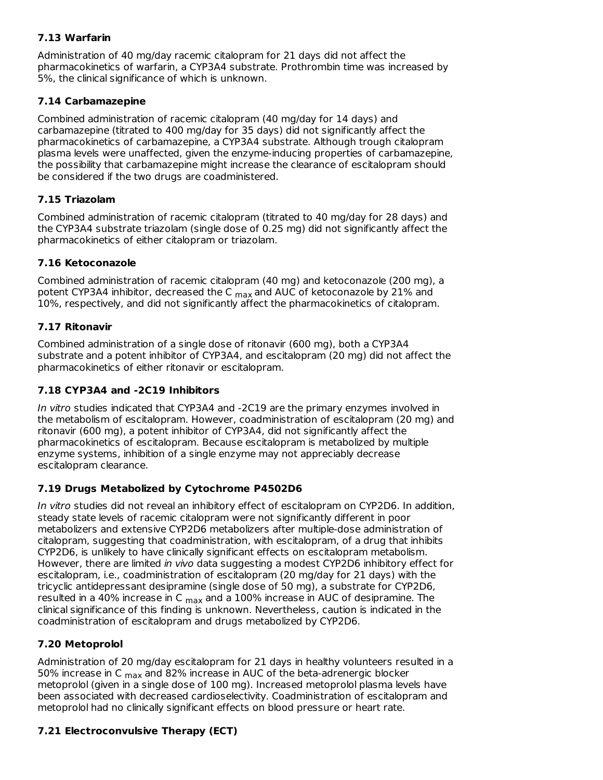# **7.13 Warfarin**

Administration of 40 mg/day racemic citalopram for 21 days did not affect the pharmacokinetics of warfarin, a CYP3A4 substrate. Prothrombin time was increased by 5%, the clinical significance of which is unknown.

# **7.14 Carbamazepine**

Combined administration of racemic citalopram (40 mg/day for 14 days) and carbamazepine (titrated to 400 mg/day for 35 days) did not significantly affect the pharmacokinetics of carbamazepine, a CYP3A4 substrate. Although trough citalopram plasma levels were unaffected, given the enzyme-inducing properties of carbamazepine, the possibility that carbamazepine might increase the clearance of escitalopram should be considered if the two drugs are coadministered.

# **7.15 Triazolam**

Combined administration of racemic citalopram (titrated to 40 mg/day for 28 days) and the CYP3A4 substrate triazolam (single dose of 0.25 mg) did not significantly affect the pharmacokinetics of either citalopram or triazolam.

# **7.16 Ketoconazole**

Combined administration of racemic citalopram (40 mg) and ketoconazole (200 mg), a potent CYP3A4 inhibitor, decreased the C  $_{\rm max}$  and AUC of ketoconazole by 21% and 10%, respectively, and did not significantly affect the pharmacokinetics of citalopram.

# **7.17 Ritonavir**

Combined administration of a single dose of ritonavir (600 mg), both a CYP3A4 substrate and a potent inhibitor of CYP3A4, and escitalopram (20 mg) did not affect the pharmacokinetics of either ritonavir or escitalopram.

# **7.18 CYP3A4 and -2C19 Inhibitors**

In vitro studies indicated that CYP3A4 and -2C19 are the primary enzymes involved in the metabolism of escitalopram. However, coadministration of escitalopram (20 mg) and ritonavir (600 mg), a potent inhibitor of CYP3A4, did not significantly affect the pharmacokinetics of escitalopram. Because escitalopram is metabolized by multiple enzyme systems, inhibition of a single enzyme may not appreciably decrease escitalopram clearance.

# **7.19 Drugs Metabolized by Cytochrome P4502D6**

In vitro studies did not reveal an inhibitory effect of escitalopram on CYP2D6. In addition, steady state levels of racemic citalopram were not significantly different in poor metabolizers and extensive CYP2D6 metabolizers after multiple-dose administration of citalopram, suggesting that coadministration, with escitalopram, of a drug that inhibits CYP2D6, is unlikely to have clinically significant effects on escitalopram metabolism. However, there are limited in vivo data suggesting a modest CYP2D6 inhibitory effect for escitalopram, i.e., coadministration of escitalopram (20 mg/day for 21 days) with the tricyclic antidepressant desipramine (single dose of 50 mg), a substrate for CYP2D6, resulted in a 40% increase in C <sub>max</sub> and a 100% increase in AUC of desipramine. The clinical significance of this finding is unknown. Nevertheless, caution is indicated in the coadministration of escitalopram and drugs metabolized by CYP2D6.

# **7.20 Metoprolol**

Administration of 20 mg/day escitalopram for 21 days in healthy volunteers resulted in a 50% increase in C  $_{\sf max}$  and 82% increase in AUC of the beta-adrenergic blocker metoprolol (given in a single dose of 100 mg). Increased metoprolol plasma levels have been associated with decreased cardioselectivity. Coadministration of escitalopram and metoprolol had no clinically significant effects on blood pressure or heart rate.

# **7.21 Electroconvulsive Therapy (ECT)**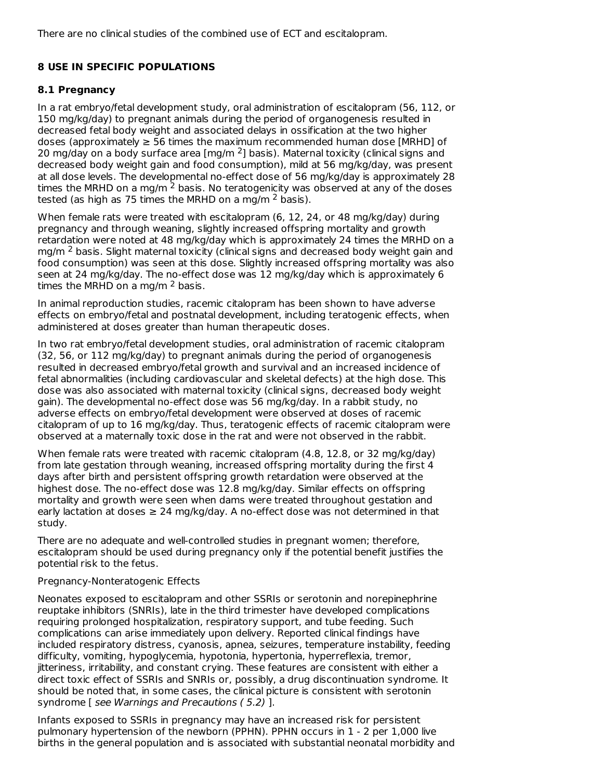There are no clinical studies of the combined use of ECT and escitalopram.

# **8 USE IN SPECIFIC POPULATIONS**

### **8.1 Pregnancy**

In a rat embryo/fetal development study, oral administration of escitalopram (56, 112, or 150 mg/kg/day) to pregnant animals during the period of organogenesis resulted in decreased fetal body weight and associated delays in ossification at the two higher doses (approximately  $\geq$  56 times the maximum recommended human dose [MRHD] of 20 mg/day on a body surface area [mg/m  $2$ ] basis). Maternal toxicity (clinical signs and decreased body weight gain and food consumption), mild at 56 mg/kg/day, was present at all dose levels. The developmental no-effect dose of 56 mg/kg/day is approximately 28 times the MRHD on a mg/m  $^2$  basis. No teratogenicity was observed at any of the doses tested (as high as 75 times the MRHD on a mg/m  $^2$  basis).

When female rats were treated with escitalopram (6, 12, 24, or 48 mg/kg/day) during pregnancy and through weaning, slightly increased offspring mortality and growth retardation were noted at 48 mg/kg/day which is approximately 24 times the MRHD on a  $mg/m<sup>2</sup>$  basis. Slight maternal toxicity (clinical signs and decreased body weight gain and food consumption) was seen at this dose. Slightly increased offspring mortality was also seen at 24 mg/kg/day. The no-effect dose was 12 mg/kg/day which is approximately 6 times the MRHD on a mg/m  $^2$  basis.

In animal reproduction studies, racemic citalopram has been shown to have adverse effects on embryo/fetal and postnatal development, including teratogenic effects, when administered at doses greater than human therapeutic doses.

In two rat embryo/fetal development studies, oral administration of racemic citalopram (32, 56, or 112 mg/kg/day) to pregnant animals during the period of organogenesis resulted in decreased embryo/fetal growth and survival and an increased incidence of fetal abnormalities (including cardiovascular and skeletal defects) at the high dose. This dose was also associated with maternal toxicity (clinical signs, decreased body weight gain). The developmental no-effect dose was 56 mg/kg/day. In a rabbit study, no adverse effects on embryo/fetal development were observed at doses of racemic citalopram of up to 16 mg/kg/day. Thus, teratogenic effects of racemic citalopram were observed at a maternally toxic dose in the rat and were not observed in the rabbit.

When female rats were treated with racemic citalopram (4.8, 12.8, or 32 mg/kg/day) from late gestation through weaning, increased offspring mortality during the first 4 days after birth and persistent offspring growth retardation were observed at the highest dose. The no-effect dose was 12.8 mg/kg/day. Similar effects on offspring mortality and growth were seen when dams were treated throughout gestation and early lactation at doses  $\geq 24$  mg/kg/day. A no-effect dose was not determined in that study.

There are no adequate and well-controlled studies in pregnant women; therefore, escitalopram should be used during pregnancy only if the potential benefit justifies the potential risk to the fetus.

### Pregnancy-Nonteratogenic Effects

Neonates exposed to escitalopram and other SSRIs or serotonin and norepinephrine reuptake inhibitors (SNRIs), late in the third trimester have developed complications requiring prolonged hospitalization, respiratory support, and tube feeding. Such complications can arise immediately upon delivery. Reported clinical findings have included respiratory distress, cyanosis, apnea, seizures, temperature instability, feeding difficulty, vomiting, hypoglycemia, hypotonia, hypertonia, hyperreflexia, tremor, jitteriness, irritability, and constant crying. These features are consistent with either a direct toxic effect of SSRIs and SNRIs or, possibly, a drug discontinuation syndrome. It should be noted that, in some cases, the clinical picture is consistent with serotonin syndrome [ see Warnings and Precautions ( 5.2) ].

Infants exposed to SSRIs in pregnancy may have an increased risk for persistent pulmonary hypertension of the newborn (PPHN). PPHN occurs in 1 - 2 per 1,000 live births in the general population and is associated with substantial neonatal morbidity and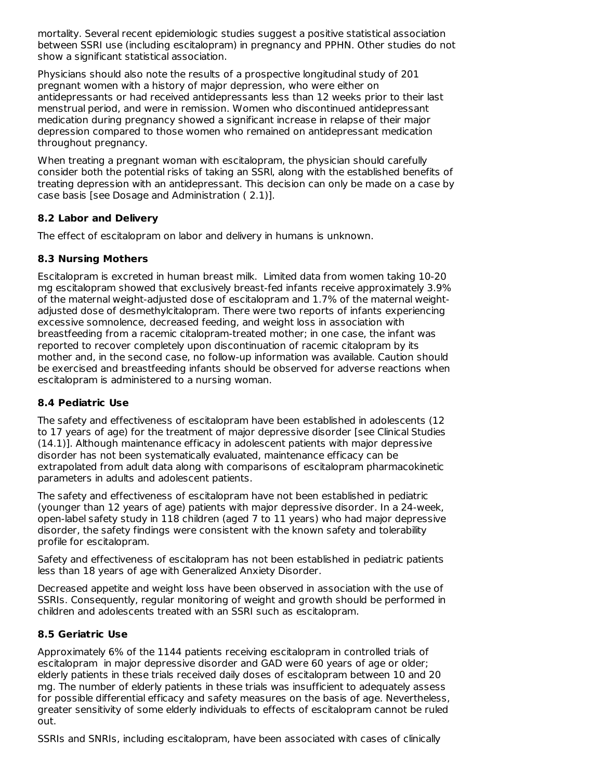mortality. Several recent epidemiologic studies suggest a positive statistical association between SSRI use (including escitalopram) in pregnancy and PPHN. Other studies do not show a significant statistical association.

Physicians should also note the results of a prospective longitudinal study of 201 pregnant women with a history of major depression, who were either on antidepressants or had received antidepressants less than 12 weeks prior to their last menstrual period, and were in remission. Women who discontinued antidepressant medication during pregnancy showed a significant increase in relapse of their major depression compared to those women who remained on antidepressant medication throughout pregnancy.

When treating a pregnant woman with escitalopram, the physician should carefully consider both the potential risks of taking an SSRl, along with the established benefits of treating depression with an antidepressant. This decision can only be made on a case by case basis [see Dosage and Administration ( 2.1)].

### **8.2 Labor and Delivery**

The effect of escitalopram on labor and delivery in humans is unknown.

### **8.3 Nursing Mothers**

Escitalopram is excreted in human breast milk. Limited data from women taking 10-20 mg escitalopram showed that exclusively breast-fed infants receive approximately 3.9% of the maternal weight-adjusted dose of escitalopram and 1.7% of the maternal weightadjusted dose of desmethylcitalopram. There were two reports of infants experiencing excessive somnolence, decreased feeding, and weight loss in association with breastfeeding from a racemic citalopram-treated mother; in one case, the infant was reported to recover completely upon discontinuation of racemic citalopram by its mother and, in the second case, no follow-up information was available. Caution should be exercised and breastfeeding infants should be observed for adverse reactions when escitalopram is administered to a nursing woman.

# **8.4 Pediatric Use**

The safety and effectiveness of escitalopram have been established in adolescents (12 to 17 years of age) for the treatment of major depressive disorder [see Clinical Studies (14.1)]. Although maintenance efficacy in adolescent patients with major depressive disorder has not been systematically evaluated, maintenance efficacy can be extrapolated from adult data along with comparisons of escitalopram pharmacokinetic parameters in adults and adolescent patients.

The safety and effectiveness of escitalopram have not been established in pediatric (younger than 12 years of age) patients with major depressive disorder. In a 24-week, open-label safety study in 118 children (aged 7 to 11 years) who had major depressive disorder, the safety findings were consistent with the known safety and tolerability profile for escitalopram.

Safety and effectiveness of escitalopram has not been established in pediatric patients less than 18 years of age with Generalized Anxiety Disorder.

Decreased appetite and weight loss have been observed in association with the use of SSRIs. Consequently, regular monitoring of weight and growth should be performed in children and adolescents treated with an SSRI such as escitalopram.

### **8.5 Geriatric Use**

Approximately 6% of the 1144 patients receiving escitalopram in controlled trials of escitalopram in major depressive disorder and GAD were 60 years of age or older; elderly patients in these trials received daily doses of escitalopram between 10 and 20 mg. The number of elderly patients in these trials was insufficient to adequately assess for possible differential efficacy and safety measures on the basis of age. Nevertheless, greater sensitivity of some elderly individuals to effects of escitalopram cannot be ruled out.

SSRIs and SNRIs, including escitalopram, have been associated with cases of clinically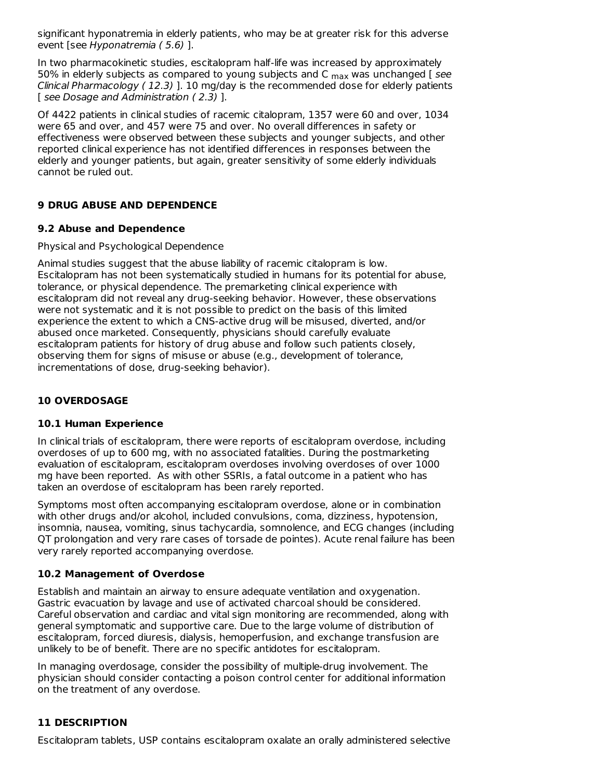significant hyponatremia in elderly patients, who may be at greater risk for this adverse event [see Hyponatremia ( 5.6) ].

In two pharmacokinetic studies, escitalopram half-life was increased by approximately 50% in elderly subjects as compared to young subjects and C <sub>max</sub> was unchanged [ *see* Clinical Pharmacology ( 12.3) ]. 10 mg/day is the recommended dose for elderly patients [ see Dosage and Administration ( 2.3) ].

Of 4422 patients in clinical studies of racemic citalopram, 1357 were 60 and over, 1034 were 65 and over, and 457 were 75 and over. No overall differences in safety or effectiveness were observed between these subjects and younger subjects, and other reported clinical experience has not identified differences in responses between the elderly and younger patients, but again, greater sensitivity of some elderly individuals cannot be ruled out.

# **9 DRUG ABUSE AND DEPENDENCE**

### **9.2 Abuse and Dependence**

### Physical and Psychological Dependence

Animal studies suggest that the abuse liability of racemic citalopram is low. Escitalopram has not been systematically studied in humans for its potential for abuse, tolerance, or physical dependence. The premarketing clinical experience with escitalopram did not reveal any drug-seeking behavior. However, these observations were not systematic and it is not possible to predict on the basis of this limited experience the extent to which a CNS-active drug will be misused, diverted, and/or abused once marketed. Consequently, physicians should carefully evaluate escitalopram patients for history of drug abuse and follow such patients closely, observing them for signs of misuse or abuse (e.g., development of tolerance, incrementations of dose, drug-seeking behavior).

# **10 OVERDOSAGE**

# **10.1 Human Experience**

In clinical trials of escitalopram, there were reports of escitalopram overdose, including overdoses of up to 600 mg, with no associated fatalities. During the postmarketing evaluation of escitalopram, escitalopram overdoses involving overdoses of over 1000 mg have been reported. As with other SSRIs, a fatal outcome in a patient who has taken an overdose of escitalopram has been rarely reported.

Symptoms most often accompanying escitalopram overdose, alone or in combination with other drugs and/or alcohol, included convulsions, coma, dizziness, hypotension, insomnia, nausea, vomiting, sinus tachycardia, somnolence, and ECG changes (including QT prolongation and very rare cases of torsade de pointes). Acute renal failure has been very rarely reported accompanying overdose.

# **10.2 Management of Overdose**

Establish and maintain an airway to ensure adequate ventilation and oxygenation. Gastric evacuation by lavage and use of activated charcoal should be considered. Careful observation and cardiac and vital sign monitoring are recommended, along with general symptomatic and supportive care. Due to the large volume of distribution of escitalopram, forced diuresis, dialysis, hemoperfusion, and exchange transfusion are unlikely to be of benefit. There are no specific antidotes for escitalopram.

In managing overdosage, consider the possibility of multiple-drug involvement. The physician should consider contacting a poison control center for additional information on the treatment of any overdose.

# **11 DESCRIPTION**

Escitalopram tablets, USP contains escitalopram oxalate an orally administered selective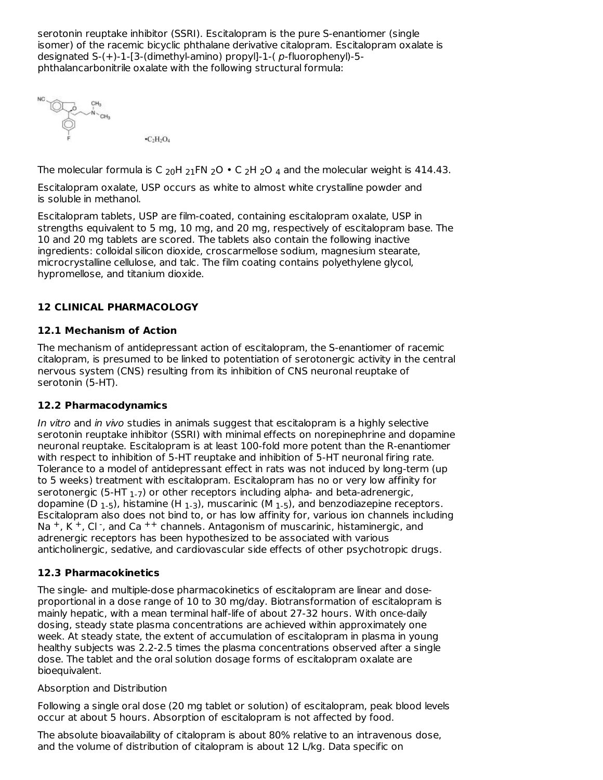serotonin reuptake inhibitor (SSRI). Escitalopram is the pure S-enantiomer (single isomer) of the racemic bicyclic phthalane derivative citalopram. Escitalopram oxalate is designated S-(+)-1-[3-(dimethyl-amino) propyl]-1-( p-fluorophenyl)-5 phthalancarbonitrile oxalate with the following structural formula:

The molecular formula is C  $_{20}$ H  $_{21}$ FN  $_{2}$ O  $\bullet$  C  $_{2}$ H  $_{2}$ O  $_{4}$  and the molecular weight is 414.43.

Escitalopram oxalate, USP occurs as white to almost white crystalline powder and is soluble in methanol.

Escitalopram tablets, USP are film-coated, containing escitalopram oxalate, USP in strengths equivalent to 5 mg, 10 mg, and 20 mg, respectively of escitalopram base. The 10 and 20 mg tablets are scored. The tablets also contain the following inactive ingredients: colloidal silicon dioxide, croscarmellose sodium, magnesium stearate, microcrystalline cellulose, and talc. The film coating contains polyethylene glycol, hypromellose, and titanium dioxide.

# **12 CLINICAL PHARMACOLOGY**

 $-C<sub>2</sub>H<sub>2</sub>O<sub>4</sub>$ 

### **12.1 Mechanism of Action**

The mechanism of antidepressant action of escitalopram, the S-enantiomer of racemic citalopram, is presumed to be linked to potentiation of serotonergic activity in the central nervous system (CNS) resulting from its inhibition of CNS neuronal reuptake of serotonin (5-HT).

### **12.2 Pharmacodynamics**

In vitro and in vivo studies in animals suggest that escitalopram is a highly selective serotonin reuptake inhibitor (SSRI) with minimal effects on norepinephrine and dopamine neuronal reuptake. Escitalopram is at least 100-fold more potent than the R-enantiomer with respect to inhibition of 5-HT reuptake and inhibition of 5-HT neuronal firing rate. Tolerance to a model of antidepressant effect in rats was not induced by long-term (up to 5 weeks) treatment with escitalopram. Escitalopram has no or very low affinity for serotonergic (5-HT  $_{\rm 1-7}$ ) or other receptors including alpha- and beta-adrenergic, dopamine (D  $_{1}$ -5), histamine (H  $_{1}$ -3), muscarinic (M  $_{1}$ -5), and benzodiazepine receptors. Escitalopram also does not bind to, or has low affinity for, various ion channels including Na  $^+$ , K  $^+$ , Cl  $^-$ , and Ca  $^{++}$  channels. Antagonism of muscarinic, histaminergic, and adrenergic receptors has been hypothesized to be associated with various anticholinergic, sedative, and cardiovascular side effects of other psychotropic drugs.

# **12.3 Pharmacokinetics**

The single- and multiple-dose pharmacokinetics of escitalopram are linear and doseproportional in a dose range of 10 to 30 mg/day. Biotransformation of escitalopram is mainly hepatic, with a mean terminal half-life of about 27-32 hours. With once-daily dosing, steady state plasma concentrations are achieved within approximately one week. At steady state, the extent of accumulation of escitalopram in plasma in young healthy subjects was 2.2-2.5 times the plasma concentrations observed after a single dose. The tablet and the oral solution dosage forms of escitalopram oxalate are bioequivalent.

# Absorption and Distribution

Following a single oral dose (20 mg tablet or solution) of escitalopram, peak blood levels occur at about 5 hours. Absorption of escitalopram is not affected by food.

The absolute bioavailability of citalopram is about 80% relative to an intravenous dose, and the volume of distribution of citalopram is about 12 L/kg. Data specific on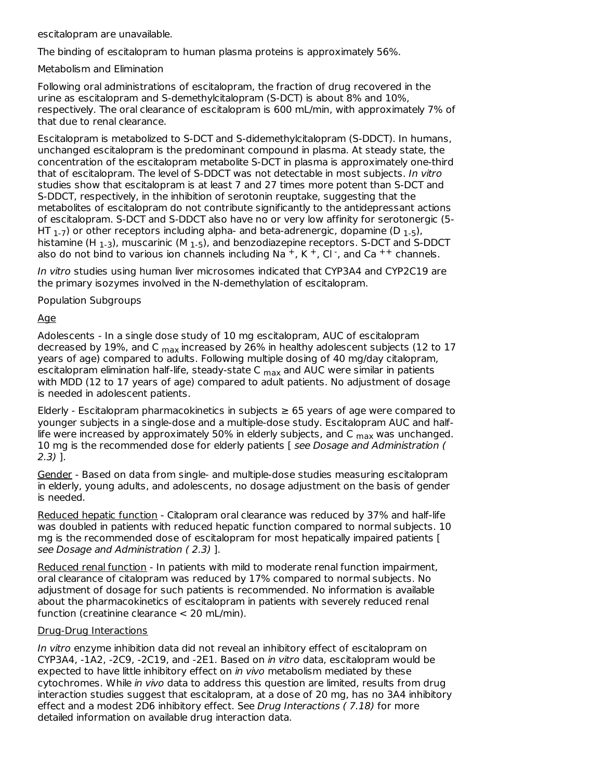escitalopram are unavailable.

The binding of escitalopram to human plasma proteins is approximately 56%.

### Metabolism and Elimination

Following oral administrations of escitalopram, the fraction of drug recovered in the urine as escitalopram and S-demethylcitalopram (S-DCT) is about 8% and 10%, respectively. The oral clearance of escitalopram is 600 mL/min, with approximately 7% of that due to renal clearance.

Escitalopram is metabolized to S-DCT and S-didemethylcitalopram (S-DDCT). In humans, unchanged escitalopram is the predominant compound in plasma. At steady state, the concentration of the escitalopram metabolite S-DCT in plasma is approximately one-third that of escitalopram. The level of S-DDCT was not detectable in most subjects. In vitro studies show that escitalopram is at least 7 and 27 times more potent than S-DCT and S-DDCT, respectively, in the inhibition of serotonin reuptake, suggesting that the metabolites of escitalopram do not contribute significantly to the antidepressant actions of escitalopram. S-DCT and S-DDCT also have no or very low affinity for serotonergic (5- HT  $_{1-7}$ ) or other receptors including alpha- and beta-adrenergic, dopamine (D  $_{1-5}$ ), histamine (H  $_{1\text{-}3}$ ), muscarinic (M  $_{1\text{-}5}$ ), and benzodiazepine receptors. S-DCT and S-DDCT also do not bind to various ion channels including Na  $^+$ , K  $^+$ , Cl  $^-$ , and Ca  $^{++}$  channels.

In vitro studies using human liver microsomes indicated that CYP3A4 and CYP2C19 are the primary isozymes involved in the N-demethylation of escitalopram.

### Population Subgroups

# Age

Adolescents - In a single dose study of 10 mg escitalopram, AUC of escitalopram decreased by 19%, and C <sub>max</sub> increased by 26% in healthy adolescent subjects (12 to 17 years of age) compared to adults. Following multiple dosing of 40 mg/day citalopram, escitalopram elimination half-life, steady-state C <sub>max</sub> and AUC were similar in patients with MDD (12 to 17 years of age) compared to adult patients. No adjustment of dosage is needed in adolescent patients.

Elderly - Escitalopram pharmacokinetics in subjects  $\geq 65$  years of age were compared to younger subjects in a single-dose and a multiple-dose study. Escitalopram AUC and halflife were increased by approximately 50% in elderly subjects, and C  $_{\sf max}$  was unchanged. 10 mg is the recommended dose for elderly patients [ see Dosage and Administration ( 2.3) ].

Gender - Based on data from single- and multiple-dose studies measuring escitalopram in elderly, young adults, and adolescents, no dosage adjustment on the basis of gender is needed.

Reduced hepatic function - Citalopram oral clearance was reduced by 37% and half-life was doubled in patients with reduced hepatic function compared to normal subjects. 10 mg is the recommended dose of escitalopram for most hepatically impaired patients [ see Dosage and Administration ( 2.3) ].

Reduced renal function - In patients with mild to moderate renal function impairment, oral clearance of citalopram was reduced by 17% compared to normal subjects. No adjustment of dosage for such patients is recommended. No information is available about the pharmacokinetics of escitalopram in patients with severely reduced renal function (creatinine clearance < 20 mL/min).

# Drug-Drug Interactions

In vitro enzyme inhibition data did not reveal an inhibitory effect of escitalopram on CYP3A4, -1A2, -2C9, -2C19, and -2E1. Based on in vitro data, escitalopram would be expected to have little inhibitory effect on in vivo metabolism mediated by these cytochromes. While in vivo data to address this question are limited, results from drug interaction studies suggest that escitalopram, at a dose of 20 mg, has no 3A4 inhibitory effect and a modest 2D6 inhibitory effect. See Drug Interactions ( 7.18) for more detailed information on available drug interaction data.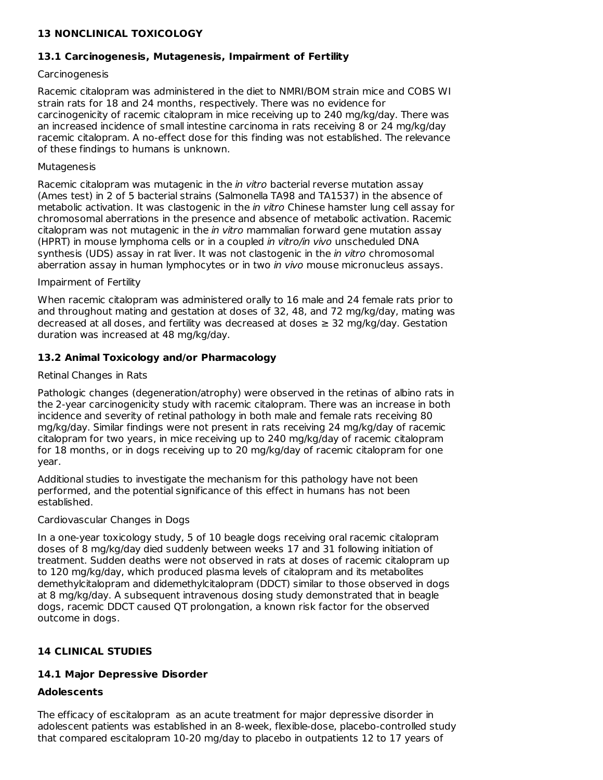### **13 NONCLINICAL TOXICOLOGY**

### **13.1 Carcinogenesis, Mutagenesis, Impairment of Fertility**

#### Carcinogenesis

Racemic citalopram was administered in the diet to NMRI/BOM strain mice and COBS WI strain rats for 18 and 24 months, respectively. There was no evidence for carcinogenicity of racemic citalopram in mice receiving up to 240 mg/kg/day. There was an increased incidence of small intestine carcinoma in rats receiving 8 or 24 mg/kg/day racemic citalopram. A no-effect dose for this finding was not established. The relevance of these findings to humans is unknown.

#### Mutagenesis

Racemic citalopram was mutagenic in the *in vitro* bacterial reverse mutation assay (Ames test) in 2 of 5 bacterial strains (Salmonella TA98 and TA1537) in the absence of metabolic activation. It was clastogenic in the in vitro Chinese hamster lung cell assay for chromosomal aberrations in the presence and absence of metabolic activation. Racemic citalopram was not mutagenic in the *in vitro* mammalian forward gene mutation assay (HPRT) in mouse lymphoma cells or in a coupled in vitro/in vivo unscheduled DNA synthesis (UDS) assay in rat liver. It was not clastogenic in the in vitro chromosomal aberration assay in human lymphocytes or in two *in vivo* mouse micronucleus assays.

#### Impairment of Fertility

When racemic citalopram was administered orally to 16 male and 24 female rats prior to and throughout mating and gestation at doses of 32, 48, and 72 mg/kg/day, mating was decreased at all doses, and fertility was decreased at doses  $\geq$  32 mg/kg/day. Gestation duration was increased at 48 mg/kg/day.

### **13.2 Animal Toxicology and/or Pharmacology**

### Retinal Changes in Rats

Pathologic changes (degeneration/atrophy) were observed in the retinas of albino rats in the 2-year carcinogenicity study with racemic citalopram. There was an increase in both incidence and severity of retinal pathology in both male and female rats receiving 80 mg/kg/day. Similar findings were not present in rats receiving 24 mg/kg/day of racemic citalopram for two years, in mice receiving up to 240 mg/kg/day of racemic citalopram for 18 months, or in dogs receiving up to 20 mg/kg/day of racemic citalopram for one year.

Additional studies to investigate the mechanism for this pathology have not been performed, and the potential significance of this effect in humans has not been established.

### Cardiovascular Changes in Dogs

In a one-year toxicology study, 5 of 10 beagle dogs receiving oral racemic citalopram doses of 8 mg/kg/day died suddenly between weeks 17 and 31 following initiation of treatment. Sudden deaths were not observed in rats at doses of racemic citalopram up to 120 mg/kg/day, which produced plasma levels of citalopram and its metabolites demethylcitalopram and didemethylcitalopram (DDCT) similar to those observed in dogs at 8 mg/kg/day. A subsequent intravenous dosing study demonstrated that in beagle dogs, racemic DDCT caused QT prolongation, a known risk factor for the observed outcome in dogs.

# **14 CLINICAL STUDIES**

### **14.1 Major Depressive Disorder**

### **Adolescents**

The efficacy of escitalopram as an acute treatment for major depressive disorder in adolescent patients was established in an 8-week, flexible-dose, placebo-controlled study that compared escitalopram 10-20 mg/day to placebo in outpatients 12 to 17 years of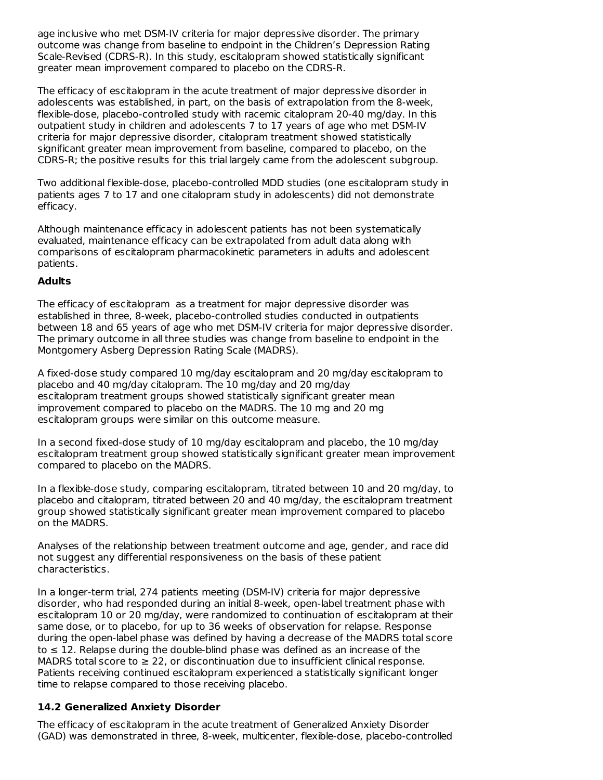age inclusive who met DSM-IV criteria for major depressive disorder. The primary outcome was change from baseline to endpoint in the Children's Depression Rating Scale-Revised (CDRS-R). In this study, escitalopram showed statistically significant greater mean improvement compared to placebo on the CDRS-R.

The efficacy of escitalopram in the acute treatment of major depressive disorder in adolescents was established, in part, on the basis of extrapolation from the 8-week, flexible-dose, placebo-controlled study with racemic citalopram 20-40 mg/day. In this outpatient study in children and adolescents 7 to 17 years of age who met DSM-IV criteria for major depressive disorder, citalopram treatment showed statistically significant greater mean improvement from baseline, compared to placebo, on the CDRS-R; the positive results for this trial largely came from the adolescent subgroup.

Two additional flexible-dose, placebo-controlled MDD studies (one escitalopram study in patients ages 7 to 17 and one citalopram study in adolescents) did not demonstrate efficacy.

Although maintenance efficacy in adolescent patients has not been systematically evaluated, maintenance efficacy can be extrapolated from adult data along with comparisons of escitalopram pharmacokinetic parameters in adults and adolescent patients.

### **Adults**

The efficacy of escitalopram as a treatment for major depressive disorder was established in three, 8-week, placebo-controlled studies conducted in outpatients between 18 and 65 years of age who met DSM-IV criteria for major depressive disorder. The primary outcome in all three studies was change from baseline to endpoint in the Montgomery Asberg Depression Rating Scale (MADRS).

A fixed-dose study compared 10 mg/day escitalopram and 20 mg/day escitalopram to placebo and 40 mg/day citalopram. The 10 mg/day and 20 mg/day escitalopram treatment groups showed statistically significant greater mean improvement compared to placebo on the MADRS. The 10 mg and 20 mg escitalopram groups were similar on this outcome measure.

In a second fixed-dose study of 10 mg/day escitalopram and placebo, the 10 mg/day escitalopram treatment group showed statistically significant greater mean improvement compared to placebo on the MADRS.

In a flexible-dose study, comparing escitalopram, titrated between 10 and 20 mg/day, to placebo and citalopram, titrated between 20 and 40 mg/day, the escitalopram treatment group showed statistically significant greater mean improvement compared to placebo on the MADRS.

Analyses of the relationship between treatment outcome and age, gender, and race did not suggest any differential responsiveness on the basis of these patient characteristics.

In a longer-term trial, 274 patients meeting (DSM-IV) criteria for major depressive disorder, who had responded during an initial 8-week, open-label treatment phase with escitalopram 10 or 20 mg/day, were randomized to continuation of escitalopram at their same dose, or to placebo, for up to 36 weeks of observation for relapse. Response during the open-label phase was defined by having a decrease of the MADRS total score to  $\leq$  12. Relapse during the double-blind phase was defined as an increase of the MADRS total score to  $\geq$  22, or discontinuation due to insufficient clinical response. Patients receiving continued escitalopram experienced a statistically significant longer time to relapse compared to those receiving placebo.

# **14.2 Generalized Anxiety Disorder**

The efficacy of escitalopram in the acute treatment of Generalized Anxiety Disorder (GAD) was demonstrated in three, 8-week, multicenter, flexible-dose, placebo-controlled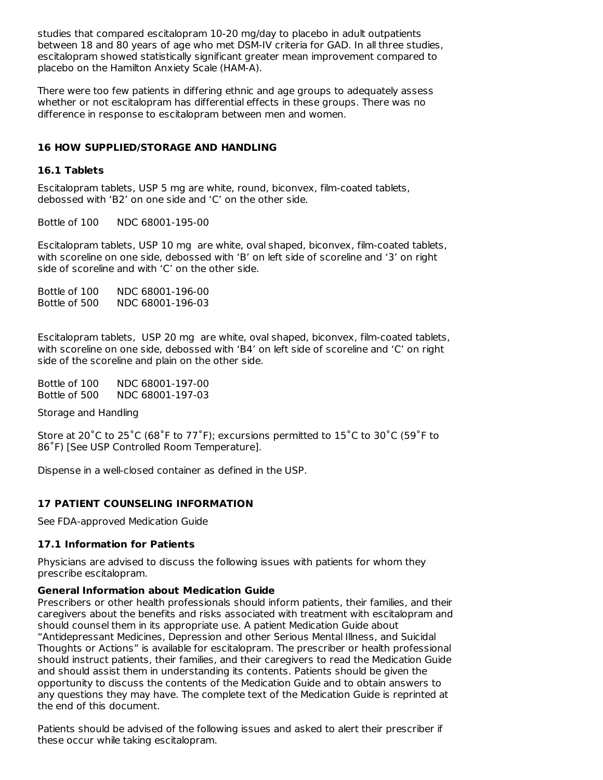studies that compared escitalopram 10-20 mg/day to placebo in adult outpatients between 18 and 80 years of age who met DSM-IV criteria for GAD. In all three studies, escitalopram showed statistically significant greater mean improvement compared to placebo on the Hamilton Anxiety Scale (HAM-A).

There were too few patients in differing ethnic and age groups to adequately assess whether or not escitalopram has differential effects in these groups. There was no difference in response to escitalopram between men and women.

### **16 HOW SUPPLIED/STORAGE AND HANDLING**

#### **16.1 Tablets**

Escitalopram tablets, USP 5 mg are white, round, biconvex, film-coated tablets, debossed with 'B2' on one side and 'C' on the other side.

Bottle of 100 NDC 68001-195-00

Escitalopram tablets, USP 10 mg are white, oval shaped, biconvex, film-coated tablets, with scoreline on one side, debossed with 'B' on left side of scoreline and '3' on right side of scoreline and with 'C' on the other side.

Bottle of 100 NDC 68001-196-00 NDC 68001-196-03

Escitalopram tablets, USP 20 mg are white, oval shaped, biconvex, film-coated tablets, with scoreline on one side, debossed with 'B4' on left side of scoreline and 'C' on right side of the scoreline and plain on the other side.

Bottle of 100 NDC 68001-197-00 Bottle of 500 NDC 68001-197-03

Storage and Handling

Store at 20˚C to 25˚C (68˚F to 77˚F); excursions permitted to 15˚C to 30˚C (59˚F to 86˚F) [See USP Controlled Room Temperature].

Dispense in a well-closed container as defined in the USP.

### **17 PATIENT COUNSELING INFORMATION**

See FDA-approved Medication Guide

### **17.1 Information for Patients**

Physicians are advised to discuss the following issues with patients for whom they prescribe escitalopram.

#### **General Information about Medication Guide**

Prescribers or other health professionals should inform patients, their families, and their caregivers about the benefits and risks associated with treatment with escitalopram and should counsel them in its appropriate use. A patient Medication Guide about "Antidepressant Medicines, Depression and other Serious Mental Illness, and Suicidal Thoughts or Actions" is available for escitalopram. The prescriber or health professional should instruct patients, their families, and their caregivers to read the Medication Guide and should assist them in understanding its contents. Patients should be given the opportunity to discuss the contents of the Medication Guide and to obtain answers to any questions they may have. The complete text of the Medication Guide is reprinted at the end of this document.

Patients should be advised of the following issues and asked to alert their prescriber if these occur while taking escitalopram.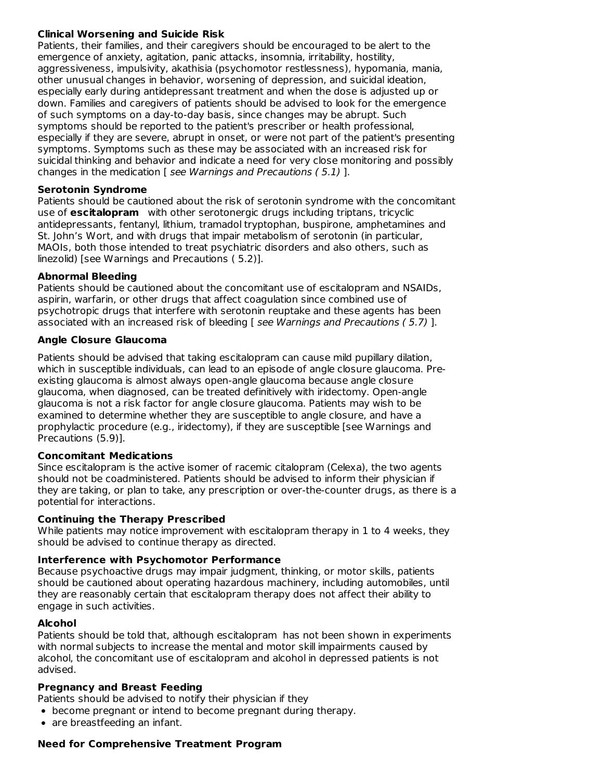### **Clinical Worsening and Suicide Risk**

Patients, their families, and their caregivers should be encouraged to be alert to the emergence of anxiety, agitation, panic attacks, insomnia, irritability, hostility, aggressiveness, impulsivity, akathisia (psychomotor restlessness), hypomania, mania, other unusual changes in behavior, worsening of depression, and suicidal ideation, especially early during antidepressant treatment and when the dose is adjusted up or down. Families and caregivers of patients should be advised to look for the emergence of such symptoms on a day-to-day basis, since changes may be abrupt. Such symptoms should be reported to the patient's prescriber or health professional, especially if they are severe, abrupt in onset, or were not part of the patient's presenting symptoms. Symptoms such as these may be associated with an increased risk for suicidal thinking and behavior and indicate a need for very close monitoring and possibly changes in the medication [ see Warnings and Precautions ( 5.1) ].

### **Serotonin Syndrome**

Patients should be cautioned about the risk of serotonin syndrome with the concomitant use of **escitalopram** with other serotonergic drugs including triptans, tricyclic antidepressants, fentanyl, lithium, tramadol tryptophan, buspirone, amphetamines and St. John's Wort, and with drugs that impair metabolism of serotonin (in particular, MAOIs, both those intended to treat psychiatric disorders and also others, such as linezolid) [see Warnings and Precautions ( 5.2)].

### **Abnormal Bleeding**

Patients should be cautioned about the concomitant use of escitalopram and NSAIDs, aspirin, warfarin, or other drugs that affect coagulation since combined use of psychotropic drugs that interfere with serotonin reuptake and these agents has been associated with an increased risk of bleeding [ see Warnings and Precautions ( 5.7) ].

#### **Angle Closure Glaucoma**

Patients should be advised that taking escitalopram can cause mild pupillary dilation, which in susceptible individuals, can lead to an episode of angle closure glaucoma. Preexisting glaucoma is almost always open-angle glaucoma because angle closure glaucoma, when diagnosed, can be treated definitively with iridectomy. Open-angle glaucoma is not a risk factor for angle closure glaucoma. Patients may wish to be examined to determine whether they are susceptible to angle closure, and have a prophylactic procedure (e.g., iridectomy), if they are susceptible [see Warnings and Precautions (5.9)].

### **Concomitant Medications**

Since escitalopram is the active isomer of racemic citalopram (Celexa), the two agents should not be coadministered. Patients should be advised to inform their physician if they are taking, or plan to take, any prescription or over-the-counter drugs, as there is a potential for interactions.

#### **Continuing the Therapy Prescribed**

While patients may notice improvement with escitalopram therapy in 1 to 4 weeks, they should be advised to continue therapy as directed.

### **Interference with Psychomotor Performance**

Because psychoactive drugs may impair judgment, thinking, or motor skills, patients should be cautioned about operating hazardous machinery, including automobiles, until they are reasonably certain that escitalopram therapy does not affect their ability to engage in such activities.

#### **Alcohol**

Patients should be told that, although escitalopram has not been shown in experiments with normal subjects to increase the mental and motor skill impairments caused by alcohol, the concomitant use of escitalopram and alcohol in depressed patients is not advised.

### **Pregnancy and Breast Feeding**

Patients should be advised to notify their physician if they

- become pregnant or intend to become pregnant during therapy.
- are breastfeeding an infant.

# **Need for Comprehensive Treatment Program**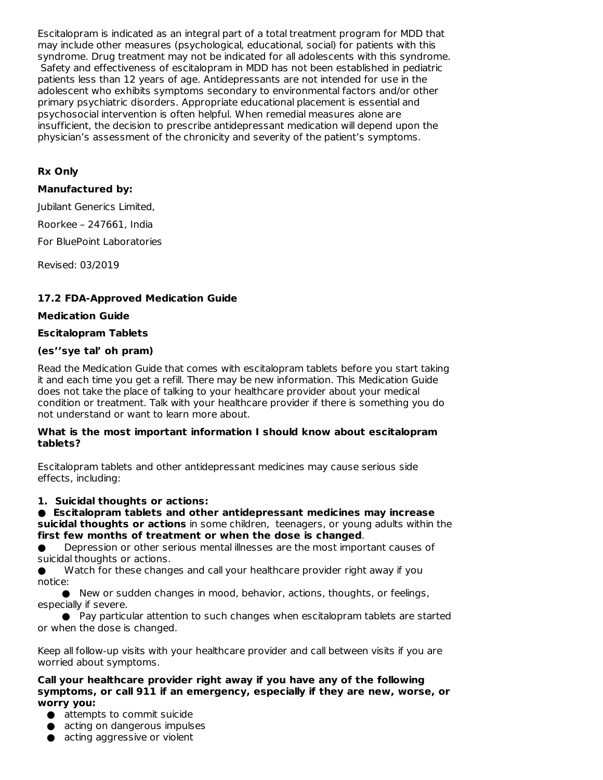Escitalopram is indicated as an integral part of a total treatment program for MDD that may include other measures (psychological, educational, social) for patients with this syndrome. Drug treatment may not be indicated for all adolescents with this syndrome. Safety and effectiveness of escitalopram in MDD has not been established in pediatric patients less than 12 years of age. Antidepressants are not intended for use in the adolescent who exhibits symptoms secondary to environmental factors and/or other primary psychiatric disorders. Appropriate educational placement is essential and psychosocial intervention is often helpful. When remedial measures alone are insufficient, the decision to prescribe antidepressant medication will depend upon the physician's assessment of the chronicity and severity of the patient's symptoms.

### **Rx Only**

### **Manufactured by:**

Jubilant Generics Limited,

Roorkee – 247661, India

For BluePoint Laboratories

Revised: 03/2019

### **17.2 FDA-Approved Medication Guide**

#### **Medication Guide**

#### **Escitalopram Tablets**

### **(es''sye tal' oh pram)**

Read the Medication Guide that comes with escitalopram tablets before you start taking it and each time you get a refill. There may be new information. This Medication Guide does not take the place of talking to your healthcare provider about your medical condition or treatment. Talk with your healthcare provider if there is something you do not understand or want to learn more about.

#### **What is the most important information I should know about escitalopram tablets?**

Escitalopram tablets and other antidepressant medicines may cause serious side effects, including:

**1. Suicidal thoughts or actions:**

**● Escitalopram tablets and other antidepressant medicines may increase suicidal thoughts or actions** in some children, teenagers, or young adults within the **first few months of treatment or when the dose is changed**.

Depression or other serious mental illnesses are the most important causes of suicidal thoughts or actions.

Watch for these changes and call your healthcare provider right away if you notice:

● New or sudden changes in mood, behavior, actions, thoughts, or feelings, especially if severe.

● Pay particular attention to such changes when escitalopram tablets are started or when the dose is changed.

Keep all follow-up visits with your healthcare provider and call between visits if you are worried about symptoms.

#### **Call your healthcare provider right away if you have any of the following symptoms, or call 911 if an emergency, especially if they are new, worse, or worry you:**

- attempts to commit suicide
- acting on dangerous impulses
- acting aggressive or violent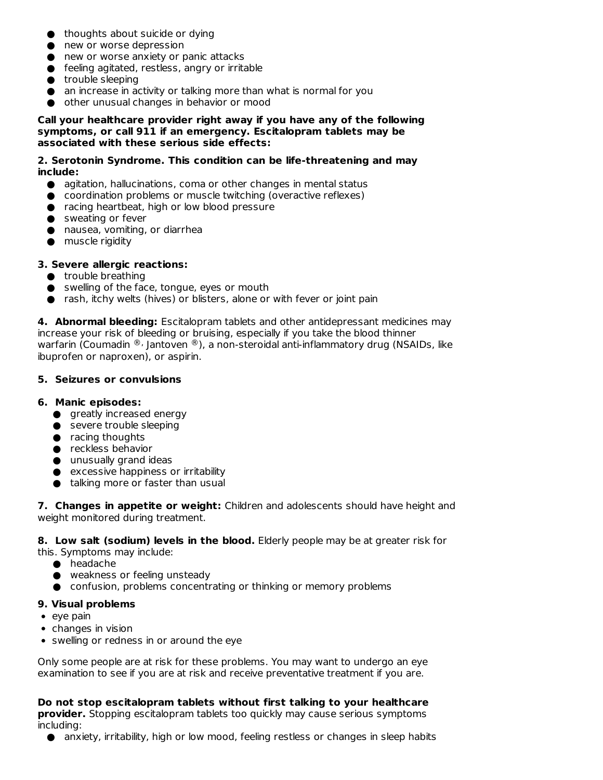- $\bullet$  thoughts about suicide or dying
- new or worse depression
- new or worse anxiety or panic attacks
- feeling agitated, restless, angry or irritable
- trouble sleeping
- $\bullet$  an increase in activity or talking more than what is normal for you
- other unusual changes in behavior or mood

#### **Call your healthcare provider right away if you have any of the following symptoms, or call 911 if an emergency. Escitalopram tablets may be associated with these serious side effects:**

#### **2. Serotonin Syndrome. This condition can be life-threatening and may include:**

- agitation, hallucinations, coma or other changes in mental status
- coordination problems or muscle twitching (overactive reflexes)
- racing heartbeat, high or low blood pressure
- sweating or fever
- nausea, vomiting, or diarrhea
- muscle rigidity

# **3. Severe allergic reactions:**

- trouble breathing
- swelling of the face, tongue, eyes or mouth
- rash, itchy welts (hives) or blisters, alone or with fever or joint pain

**4. Abnormal bleeding:** Escitalopram tablets and other antidepressant medicines may increase your risk of bleeding or bruising, especially if you take the blood thinner warfarin (Coumadin  $^{\circledR, \cdot}$  Jantoven  $^{\circledR}$ ), a non-steroidal anti-inflammatory drug (NSAIDs, like ibuprofen or naproxen), or aspirin.

### **5. Seizures or convulsions**

### **6. Manic episodes:**

- greatly increased energy
- severe trouble sleeping
- racing thoughts
- reckless behavior
- unusually grand ideas
- excessive happiness or irritability
- talking more or faster than usual

**7. Changes in appetite or weight:** Children and adolescents should have height and weight monitored during treatment.

# **8. Low salt (sodium) levels in the blood.** Elderly people may be at greater risk for

- this. Symptoms may include:
	- headache
	- weakness or feeling unsteady
	- confusion, problems concentrating or thinking or memory problems

### **9. Visual problems**

- eye pain
- changes in vision
- swelling or redness in or around the eye

Only some people are at risk for these problems. You may want to undergo an eye examination to see if you are at risk and receive preventative treatment if you are.

**Do not stop escitalopram tablets without first talking to your healthcare provider.** Stopping escitalopram tablets too quickly may cause serious symptoms including:

● anxiety, irritability, high or low mood, feeling restless or changes in sleep habits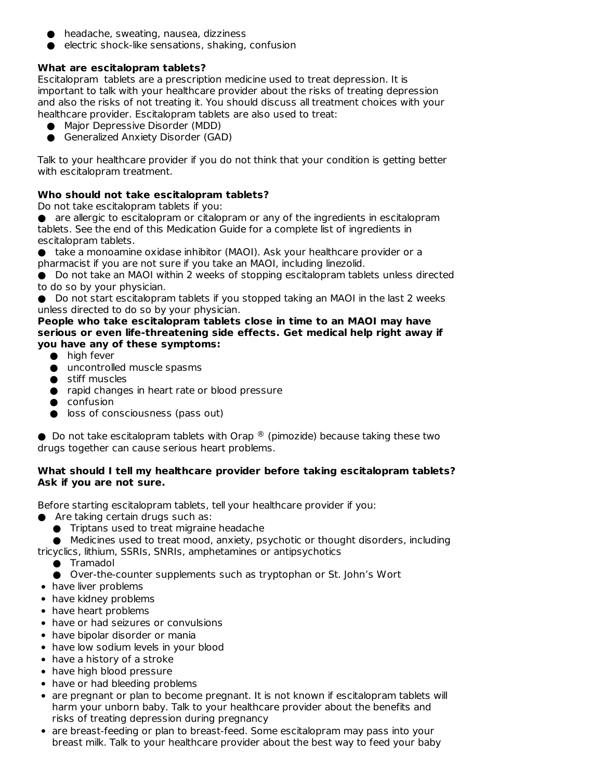- headache, sweating, nausea, dizziness
- $\bullet$  electric shock-like sensations, shaking, confusion

### **What are escitalopram tablets?**

Escitalopram tablets are a prescription medicine used to treat depression. It is important to talk with your healthcare provider about the risks of treating depression and also the risks of not treating it. You should discuss all treatment choices with your healthcare provider. Escitalopram tablets are also used to treat:

- Major Depressive Disorder (MDD)
- Generalized Anxiety Disorder (GAD)

Talk to your healthcare provider if you do not think that your condition is getting better with escitalopram treatment.

### **Who should not take escitalopram tablets?**

Do not take escitalopram tablets if you:

● are allergic to escitalopram or citalopram or any of the ingredients in escitalopram tablets. See the end of this Medication Guide for a complete list of ingredients in escitalopram tablets.

● take a monoamine oxidase inhibitor (MAOI). Ask your healthcare provider or a pharmacist if you are not sure if you take an MAOI, including linezolid.

● Do not take an MAOI within 2 weeks of stopping escitalopram tablets unless directed to do so by your physician.

Do not start escitalopram tablets if you stopped taking an MAOI in the last 2 weeks unless directed to do so by your physician.

#### **People who take escitalopram tablets close in time to an MAOI may have serious or even life-threatening side effects. Get medical help right away if you have any of these symptoms:**

- high fever
- uncontrolled muscle spasms
- stiff muscles
- rapid changes in heart rate or blood pressure
- confusion
- loss of consciousness (pass out)

 $\bullet$  Do not take escitalopram tablets with Orap  $^{\circledR}$  (pimozide) because taking these two drugs together can cause serious heart problems.

### **What should I tell my healthcare provider before taking escitalopram tablets? Ask if you are not sure.**

Before starting escitalopram tablets, tell your healthcare provider if you:

- Are taking certain drugs such as:
	- Triptans used to treat migraine headache
	- Medicines used to treat mood, anxiety, psychotic or thought disorders, including
- tricyclics, lithium, SSRIs, SNRIs, amphetamines or antipsychotics
	- Tramadol
	- Over-the-counter supplements such as tryptophan or St. John's Wort
- have liver problems
- have kidney problems
- have heart problems
- have or had seizures or convulsions
- have bipolar disorder or mania
- have low sodium levels in your blood
- have a history of a stroke
- have high blood pressure
- have or had bleeding problems
- are pregnant or plan to become pregnant. It is not known if escitalopram tablets will harm your unborn baby. Talk to your healthcare provider about the benefits and risks of treating depression during pregnancy
- are breast-feeding or plan to breast-feed. Some escitalopram may pass into your breast milk. Talk to your healthcare provider about the best way to feed your baby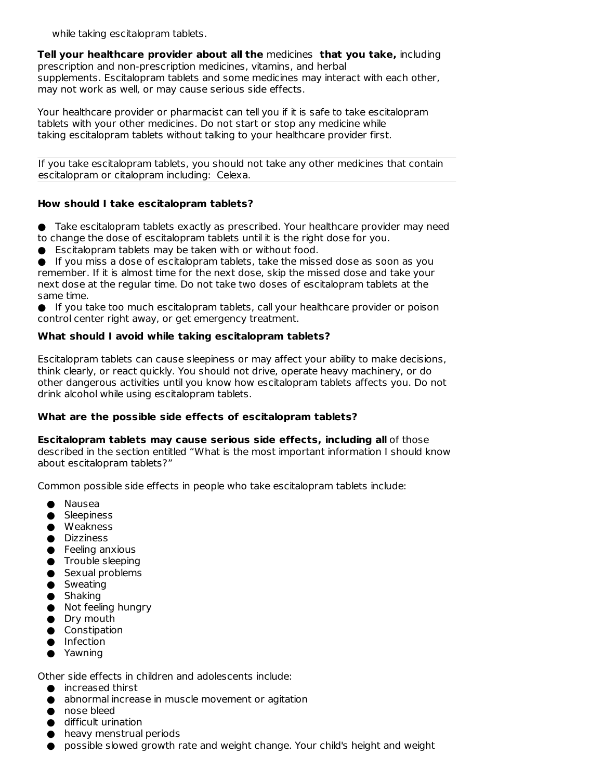while taking escitalopram tablets.

**Tell your healthcare provider about all the** medicines **that you take,** including prescription and non-prescription medicines, vitamins, and herbal supplements. Escitalopram tablets and some medicines may interact with each other, may not work as well, or may cause serious side effects.

Your healthcare provider or pharmacist can tell you if it is safe to take escitalopram tablets with your other medicines. Do not start or stop any medicine while taking escitalopram tablets without talking to your healthcare provider first.

If you take escitalopram tablets, you should not take any other medicines that contain escitalopram or citalopram including: Celexa.

### **How should I take escitalopram tablets?**

● Take escitalopram tablets exactly as prescribed. Your healthcare provider may need to change the dose of escitalopram tablets until it is the right dose for you.

● Escitalopram tablets may be taken with or without food.

 $\bullet$  If you miss a dose of escitalopram tablets, take the missed dose as soon as you remember. If it is almost time for the next dose, skip the missed dose and take your next dose at the regular time. Do not take two doses of escitalopram tablets at the same time.

● If you take too much escitalopram tablets, call your healthcare provider or poison control center right away, or get emergency treatment.

### **What should I avoid while taking escitalopram tablets?**

Escitalopram tablets can cause sleepiness or may affect your ability to make decisions, think clearly, or react quickly. You should not drive, operate heavy machinery, or do other dangerous activities until you know how escitalopram tablets affects you. Do not drink alcohol while using escitalopram tablets.

# **What are the possible side effects of escitalopram tablets?**

**Escitalopram tablets may cause serious side effects, including all** of those described in the section entitled "What is the most important information I should know about escitalopram tablets?"

Common possible side effects in people who take escitalopram tablets include:

- Nausea
- Sleepiness
- Weakness
- Dizziness
- $\bullet$  Feeling anxious
- Trouble sleeping
- Sexual problems
- Sweating
- Shaking
- Not feeling hungry
- Dry mouth
- Constipation
- Infection
- Yawning

Other side effects in children and adolescents include:

- increased thirst
- abnormal increase in muscle movement or agitation
- nose bleed
- difficult urination
- heavy menstrual periods
- possible slowed growth rate and weight change. Your child's height and weight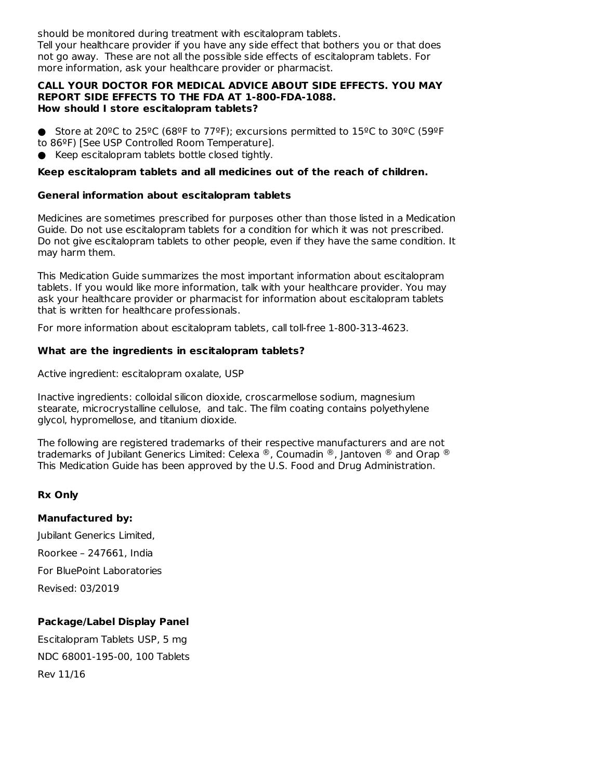should be monitored during treatment with escitalopram tablets. Tell your healthcare provider if you have any side effect that bothers you or that does not go away. These are not all the possible side effects of escitalopram tablets. For more information, ask your healthcare provider or pharmacist.

#### **CALL YOUR DOCTOR FOR MEDICAL ADVICE ABOUT SIDE EFFECTS. YOU MAY REPORT SIDE EFFECTS TO THE FDA AT 1-800-FDA-1088. How should I store escitalopram tablets?**

- Store at 20ºC to 25ºC (68ºF to 77ºF); excursions permitted to 15ºC to 30ºC (59ºF
- to 86ºF) [See USP Controlled Room Temperature].
- Keep escitalopram tablets bottle closed tightly.

#### **Keep escitalopram tablets and all medicines out of the reach of children.**

### **General information about escitalopram tablets**

Medicines are sometimes prescribed for purposes other than those listed in a Medication Guide. Do not use escitalopram tablets for a condition for which it was not prescribed. Do not give escitalopram tablets to other people, even if they have the same condition. It may harm them.

This Medication Guide summarizes the most important information about escitalopram tablets. If you would like more information, talk with your healthcare provider. You may ask your healthcare provider or pharmacist for information about escitalopram tablets that is written for healthcare professionals.

For more information about escitalopram tablets, call toll-free 1-800-313-4623.

#### **What are the ingredients in escitalopram tablets?**

Active ingredient: escitalopram oxalate, USP

Inactive ingredients: colloidal silicon dioxide, croscarmellose sodium, magnesium stearate, microcrystalline cellulose, and talc. The film coating contains polyethylene glycol, hypromellose, and titanium dioxide.

The following are registered trademarks of their respective manufacturers and are not trademarks of Jubilant Generics Limited: Celexa  $^\circledR$ , Coumadin  $^\circledR$ , Jantoven  $^\circledR$  and Orap  $^\circledR$ This Medication Guide has been approved by the U.S. Food and Drug Administration.

### **Rx Only**

### **Manufactured by:**

Jubilant Generics Limited, Roorkee – 247661, India For BluePoint Laboratories Revised: 03/2019

### **Package/Label Display Panel**

Escitalopram Tablets USP, 5 mg NDC 68001-195-00, 100 Tablets Rev 11/16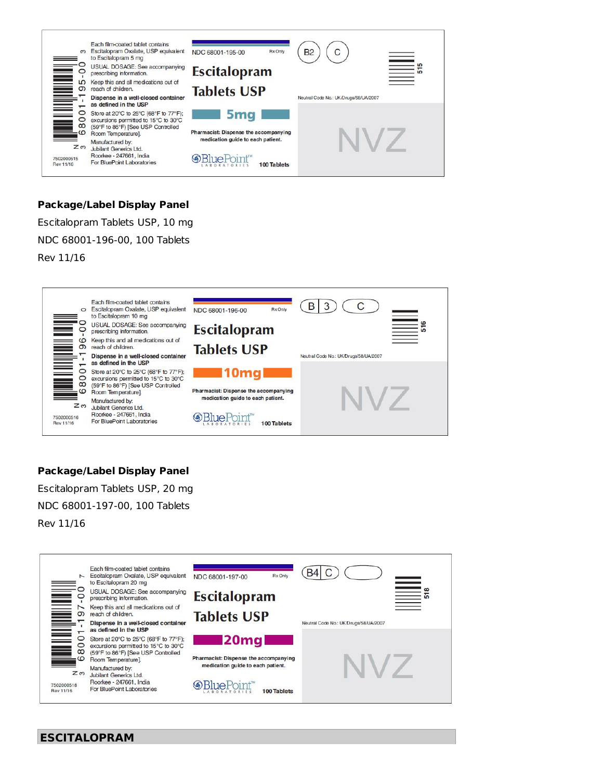

# **Package/Label Display Panel**

Escitalopram Tablets USP, 10 mg NDC 68001-196-00, 100 Tablets Rev 11/16



# **Package/Label Display Panel**

Escitalopram Tablets USP, 20 mg NDC 68001-197-00, 100 Tablets Rev 11/16



**ESCITALOPRAM**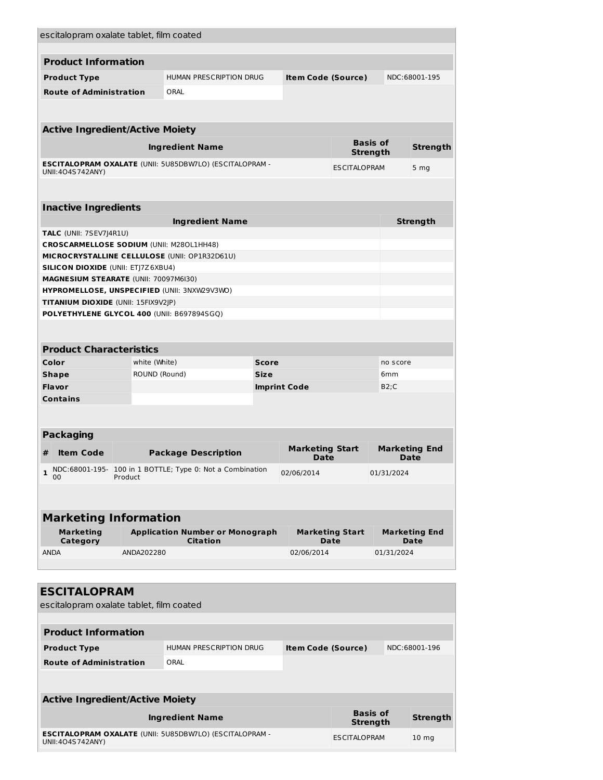| escitalopram oxalate tablet, film coated                                                             |                                                                          |                                                                |              |                        |                                |                 |                                     |
|------------------------------------------------------------------------------------------------------|--------------------------------------------------------------------------|----------------------------------------------------------------|--------------|------------------------|--------------------------------|-----------------|-------------------------------------|
|                                                                                                      |                                                                          |                                                                |              |                        |                                |                 |                                     |
| <b>Product Information</b>                                                                           |                                                                          |                                                                |              |                        |                                |                 |                                     |
| <b>Product Type</b>                                                                                  |                                                                          | HUMAN PRESCRIPTION DRUG<br><b>Item Code (Source)</b>           |              |                        |                                | NDC:68001-195   |                                     |
| <b>Route of Administration</b>                                                                       |                                                                          | ORAL                                                           |              |                        |                                |                 |                                     |
|                                                                                                      |                                                                          |                                                                |              |                        |                                |                 |                                     |
|                                                                                                      |                                                                          |                                                                |              |                        |                                |                 |                                     |
| <b>Active Ingredient/Active Moiety</b>                                                               |                                                                          |                                                                |              |                        |                                |                 |                                     |
|                                                                                                      |                                                                          |                                                                |              |                        |                                | <b>Basis of</b> | <b>Strength</b>                     |
| <b>Ingredient Name</b><br>Strength<br><b>ESCITALOPRAM OXALATE (UNII: 5U85DBW7LO) (ESCITALOPRAM -</b> |                                                                          |                                                                |              |                        |                                |                 |                                     |
| UNII: 404S 742ANY)                                                                                   |                                                                          |                                                                |              |                        | <b>ESCITALOPRAM</b>            |                 | 5 <sub>mg</sub>                     |
|                                                                                                      |                                                                          |                                                                |              |                        |                                |                 |                                     |
|                                                                                                      |                                                                          |                                                                |              |                        |                                |                 |                                     |
| <b>Inactive Ingredients</b>                                                                          |                                                                          |                                                                |              |                        |                                |                 |                                     |
|                                                                                                      |                                                                          | <b>Ingredient Name</b>                                         |              |                        |                                |                 | <b>Strength</b>                     |
| TALC (UNII: 7SEV7J4R1U)<br><b>CROSCARMELLOSE SODIUM (UNII: M280L1HH48)</b>                           |                                                                          |                                                                |              |                        |                                |                 |                                     |
|                                                                                                      |                                                                          | MICROCRYSTALLINE CELLULOSE (UNII: OP1R32D61U)                  |              |                        |                                |                 |                                     |
| <b>SILICON DIOXIDE (UNII: ETJ7Z6XBU4)</b>                                                            |                                                                          |                                                                |              |                        |                                |                 |                                     |
| MAGNESIUM STEARATE (UNII: 70097M6I30)                                                                |                                                                          |                                                                |              |                        |                                |                 |                                     |
|                                                                                                      |                                                                          | HYPROMELLOSE, UNSPECIFIED (UNII: 3NXW29V3WO)                   |              |                        |                                |                 |                                     |
| <b>TITANIUM DIOXIDE (UNII: 15FIX9V2JP)</b>                                                           |                                                                          |                                                                |              |                        |                                |                 |                                     |
| POLYETHYLENE GLYCOL 400 (UNII: B697894SGQ)                                                           |                                                                          |                                                                |              |                        |                                |                 |                                     |
|                                                                                                      |                                                                          |                                                                |              |                        |                                |                 |                                     |
| <b>Product Characteristics</b>                                                                       |                                                                          |                                                                |              |                        |                                |                 |                                     |
| Color                                                                                                | white (White)                                                            |                                                                | <b>Score</b> |                        |                                | no score        |                                     |
| <b>Shape</b>                                                                                         | ROUND (Round)                                                            | <b>Size</b>                                                    |              | 6 <sub>mm</sub>        |                                |                 |                                     |
| <b>Flavor</b>                                                                                        |                                                                          | <b>Imprint Code</b>                                            |              |                        | B2;C                           |                 |                                     |
| <b>Contains</b>                                                                                      |                                                                          |                                                                |              |                        |                                |                 |                                     |
|                                                                                                      |                                                                          |                                                                |              |                        |                                |                 |                                     |
|                                                                                                      |                                                                          |                                                                |              |                        |                                |                 |                                     |
| <b>Packaging</b>                                                                                     |                                                                          |                                                                |              | <b>Marketing Start</b> |                                |                 | <b>Marketing End</b>                |
| <b>Item Code</b><br>#                                                                                |                                                                          | <b>Package Description</b>                                     |              | <b>Date</b>            |                                |                 | <b>Date</b>                         |
|                                                                                                      |                                                                          | NDC:68001-195- 100 in 1 BOTTLE; Type 0: Not a Combination      |              | 02/06/2014             |                                | 01/31/2024      |                                     |
| 00                                                                                                   | Product                                                                  |                                                                |              |                        |                                |                 |                                     |
|                                                                                                      |                                                                          |                                                                |              |                        |                                |                 |                                     |
| <b>Marketing Information</b>                                                                         |                                                                          |                                                                |              |                        |                                |                 |                                     |
|                                                                                                      |                                                                          |                                                                |              |                        |                                |                 |                                     |
| <b>Marketing</b><br>Category                                                                         |                                                                          | <b>Application Number or Monograph</b><br>Citation             |              |                        | <b>Marketing Start</b><br>Date |                 | <b>Marketing End</b><br><b>Date</b> |
| <b>ANDA</b>                                                                                          | ANDA202280                                                               |                                                                |              | 02/06/2014             |                                | 01/31/2024      |                                     |
|                                                                                                      |                                                                          |                                                                |              |                        |                                |                 |                                     |
|                                                                                                      |                                                                          |                                                                |              |                        |                                |                 |                                     |
| <b>ESCITALOPRAM</b>                                                                                  |                                                                          |                                                                |              |                        |                                |                 |                                     |
| escitalopram oxalate tablet, film coated                                                             |                                                                          |                                                                |              |                        |                                |                 |                                     |
|                                                                                                      |                                                                          |                                                                |              |                        |                                |                 |                                     |
| <b>Product Information</b>                                                                           |                                                                          |                                                                |              |                        |                                |                 |                                     |
| HUMAN PRESCRIPTION DRUG<br><b>Product Type</b><br><b>Item Code (Source)</b>                          |                                                                          |                                                                |              |                        | NDC:68001-196                  |                 |                                     |
| <b>Route of Administration</b>                                                                       |                                                                          | ORAL                                                           |              |                        |                                |                 |                                     |
|                                                                                                      |                                                                          |                                                                |              |                        |                                |                 |                                     |
|                                                                                                      |                                                                          |                                                                |              |                        |                                |                 |                                     |
| <b>Active Ingredient/Active Moiety</b>                                                               |                                                                          |                                                                |              |                        |                                |                 |                                     |
|                                                                                                      | <b>Basis of</b><br><b>Ingredient Name</b><br><b>Strength</b><br>Strength |                                                                |              |                        |                                |                 |                                     |
|                                                                                                      |                                                                          | <b>ESCITALOPRAM OXALATE (UNII: 5U85DBW7LO) (ESCITALOPRAM -</b> |              |                        | <b>ESCITALOPRAM</b>            |                 | 10 <sub>mg</sub>                    |
| UNII: 404S 742ANY)                                                                                   |                                                                          |                                                                |              |                        |                                |                 |                                     |
|                                                                                                      |                                                                          |                                                                |              |                        |                                |                 |                                     |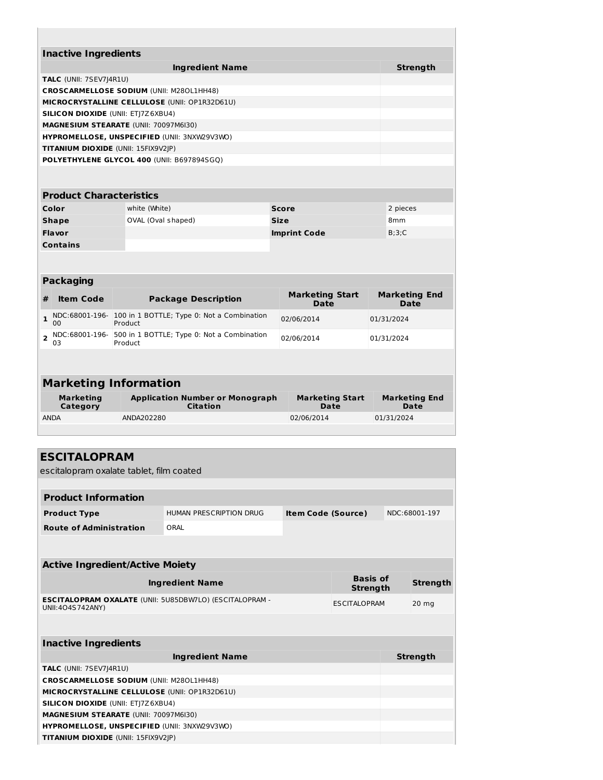|                                                                                    | <b>Inactive Ingredients</b>                     |                    |                                                                         |              |                                       |                 |                 |                                     |
|------------------------------------------------------------------------------------|-------------------------------------------------|--------------------|-------------------------------------------------------------------------|--------------|---------------------------------------|-----------------|-----------------|-------------------------------------|
|                                                                                    |                                                 |                    | <b>Ingredient Name</b>                                                  |              |                                       |                 |                 | <b>Strength</b>                     |
|                                                                                    | <b>TALC</b> (UNII: 7SEV7J4R1U)                  |                    |                                                                         |              |                                       |                 |                 |                                     |
|                                                                                    | <b>CROSCARMELLOSE SODIUM (UNII: M28OL1HH48)</b> |                    |                                                                         |              |                                       |                 |                 |                                     |
|                                                                                    |                                                 |                    | MICROCRYSTALLINE CELLULOSE (UNII: OP1R32D61U)                           |              |                                       |                 |                 |                                     |
|                                                                                    | <b>SILICON DIOXIDE (UNII: ETJ7Z6XBU4)</b>       |                    |                                                                         |              |                                       |                 |                 |                                     |
|                                                                                    | <b>MAGNESIUM STEARATE (UNII: 70097M6I30)</b>    |                    |                                                                         |              |                                       |                 |                 |                                     |
|                                                                                    |                                                 |                    | HYPROMELLOSE, UNSPECIFIED (UNII: 3NXW29V3WO)                            |              |                                       |                 |                 |                                     |
|                                                                                    | TITANIUM DIOXIDE (UNII: 15FIX9V2JP)             |                    |                                                                         |              |                                       |                 |                 |                                     |
|                                                                                    |                                                 |                    | POLYETHYLENE GLYCOL 400 (UNII: B697894SGQ)                              |              |                                       |                 |                 |                                     |
|                                                                                    |                                                 |                    |                                                                         |              |                                       |                 |                 |                                     |
|                                                                                    |                                                 |                    |                                                                         |              |                                       |                 |                 |                                     |
|                                                                                    | <b>Product Characteristics</b>                  |                    |                                                                         |              |                                       |                 |                 |                                     |
|                                                                                    | Color                                           | white (White)      |                                                                         | <b>Score</b> |                                       |                 | 2 pieces        |                                     |
|                                                                                    | <b>Shape</b>                                    | OVAL (Oval shaped) |                                                                         | <b>Size</b>  |                                       |                 | 8 <sub>mm</sub> |                                     |
|                                                                                    | Flavor                                          |                    |                                                                         |              | <b>Imprint Code</b>                   |                 | B:3:C           |                                     |
|                                                                                    | <b>Contains</b>                                 |                    |                                                                         |              |                                       |                 |                 |                                     |
|                                                                                    |                                                 |                    |                                                                         |              |                                       |                 |                 |                                     |
|                                                                                    |                                                 |                    |                                                                         |              |                                       |                 |                 |                                     |
|                                                                                    | <b>Packaging</b>                                |                    |                                                                         |              |                                       |                 |                 |                                     |
| #                                                                                  | <b>Item Code</b>                                |                    | <b>Package Description</b>                                              |              | <b>Marketing Start</b><br><b>Date</b> |                 |                 | <b>Marketing End</b><br><b>Date</b> |
| $\mathbf{1}$                                                                       | NDC:68001-196-<br>00                            | Product            | 100 in 1 BOTTLE; Type 0: Not a Combination                              |              | 02/06/2014                            |                 | 01/31/2024      |                                     |
| 2                                                                                  | 03                                              | Product            | NDC:68001-196- 500 in 1 BOTTLE; Type 0: Not a Combination<br>02/06/2014 |              | 01/31/2024                            |                 |                 |                                     |
|                                                                                    |                                                 |                    |                                                                         |              |                                       |                 |                 |                                     |
|                                                                                    |                                                 |                    |                                                                         |              |                                       |                 |                 |                                     |
|                                                                                    | <b>Marketing Information</b>                    |                    |                                                                         |              |                                       |                 |                 |                                     |
|                                                                                    | <b>Marketing</b>                                |                    |                                                                         |              |                                       |                 |                 |                                     |
|                                                                                    | Category                                        |                    | <b>Application Number or Monograph</b><br>Citation                      |              | <b>Marketing Start</b><br><b>Date</b> |                 |                 | <b>Marketing End</b><br><b>Date</b> |
| <b>ANDA</b>                                                                        |                                                 | ANDA202280         |                                                                         |              | 02/06/2014                            |                 | 01/31/2024      |                                     |
|                                                                                    |                                                 |                    |                                                                         |              |                                       |                 |                 |                                     |
|                                                                                    |                                                 |                    |                                                                         |              |                                       |                 |                 |                                     |
|                                                                                    | <b>ESCITALOPRAM</b>                             |                    |                                                                         |              |                                       |                 |                 |                                     |
|                                                                                    | escitalopram oxalate tablet, film coated        |                    |                                                                         |              |                                       |                 |                 |                                     |
|                                                                                    |                                                 |                    |                                                                         |              |                                       |                 |                 |                                     |
|                                                                                    | <b>Product Information</b>                      |                    |                                                                         |              |                                       |                 |                 |                                     |
|                                                                                    | <b>Product Type</b>                             |                    | HUMAN PRESCRIPTION DRUG                                                 |              | <b>Item Code (Source)</b>             |                 |                 | NDC:68001-197                       |
|                                                                                    | <b>Route of Administration</b>                  |                    | ORAL                                                                    |              |                                       |                 |                 |                                     |
|                                                                                    |                                                 |                    |                                                                         |              |                                       |                 |                 |                                     |
|                                                                                    |                                                 |                    |                                                                         |              |                                       |                 |                 |                                     |
|                                                                                    |                                                 |                    |                                                                         |              |                                       |                 |                 |                                     |
|                                                                                    | <b>Active Ingredient/Active Moiety</b>          |                    |                                                                         |              |                                       |                 |                 |                                     |
| <b>Basis of</b><br><b>Ingredient Name</b><br><b>Strength</b>                       |                                                 |                    |                                                                         |              |                                       | <b>Strength</b> |                 |                                     |
| <b>ESCITALOPRAM OXALATE (UNII: 5U85DBW7LO) (ESCITALOPRAM -</b><br>UNII:404S742ANY) |                                                 |                    | <b>ESCITALOPRAM</b>                                                     |              | $20$ mg                               |                 |                 |                                     |
|                                                                                    |                                                 |                    |                                                                         |              |                                       |                 |                 |                                     |
|                                                                                    | <b>Inactive Ingredients</b>                     |                    |                                                                         |              |                                       |                 |                 |                                     |
|                                                                                    |                                                 |                    | <b>Ingredient Name</b>                                                  |              |                                       |                 |                 | <b>Strength</b>                     |
|                                                                                    |                                                 |                    |                                                                         |              |                                       |                 |                 |                                     |

| <b>Inactive Ingredients</b>                     |                 |
|-------------------------------------------------|-----------------|
| <b>Ingredient Name</b>                          | <b>Strength</b> |
| <b>TALC</b> (UNII: 7SEV7 4R1U)                  |                 |
| <b>CROSCARMELLOSE SODIUM (UNII: M280L1HH48)</b> |                 |
| MICROCRYSTALLINE CELLULOSE (UNII: OP1R32D61U)   |                 |
| <b>SILICON DIOXIDE (UNII: ETI7Z6XBU4)</b>       |                 |
| MAGNESIUM STEARATE (UNII: 70097M6I30)           |                 |
| HYPROMELLOSE, UNSPECIFIED (UNII: 3NXW29V3WO)    |                 |
| <b>TITANIUM DIOXIDE (UNII: 15FIX9V2JP)</b>      |                 |